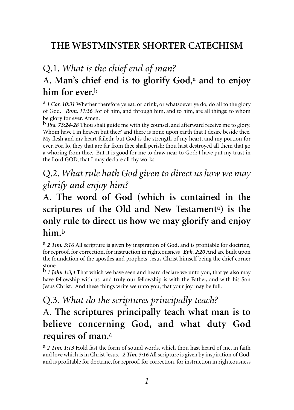#### **THE WESTMINSTER SHORTER CATECHISM**

### Q.1. *What is the chief end of man?*  A. **Man's chief end is to glorify God,**<sup>a</sup> **and to enjoy him for ever.**<sup>b</sup>

a *1 Cor. 10:31* Whether therefore ye eat, or drink, or whatsoever ye do, do all to the glory of God. *Rom. 11:36* For of him, and through him, and to him, are all things: to whom be glory for ever. Amen.

b *Psa. 73:24-28* Thou shalt guide me with thy counsel, and afterward receive me to glory. Whom have I in heaven but thee? and there is none upon earth that I desire beside thee. My flesh and my heart faileth: but God is the strength of my heart, and my portion for ever. For, lo, they that are far from thee shall perish: thou hast destroyed all them that go a whoring from thee. But it is good for me to draw near to God: I have put my trust in the Lord GOD, that I may declare all thy works.

#### Q.2. *What rule hath God given to direct us how we may glorify and enjoy him?*

#### A. **The word of God (which is contained in the scriptures of the Old and New Testament**<sup>a</sup>**) is the only rule to direct us how we may glorify and enjoy him.**<sup>b</sup>

<sup>a</sup> 2 Tim. 3:16 All scripture is given by inspiration of God, and is profitable for doctrine, for reproof, for correction, for instruction in righteousness *Eph. 2:20* And are built upon the foundation of the apostles and prophets, Jesus Christ himself being the chief corner stone

b *1 John 1:3,4* That which we have seen and heard declare we unto you, that ye also may have fellowship with us: and truly our fellowship is with the Father, and with his Son Jesus Christ. And these things write we unto you, that your joy may be full.

# Q.3. *What do the scriptures principally teach?*

#### A. **The scriptures principally teach what man is to believe concerning God, and what duty God requires of man.**<sup>a</sup>

a *2 Tim. 1:13* Hold fast the form of sound words, which thou hast heard of me, in faith and love which is in Christ Jesus. 2 Tim. 3:16 All scripture is given by inspiration of God, and is profitable for doctrine, for reproof, for correction, for instruction in righteousness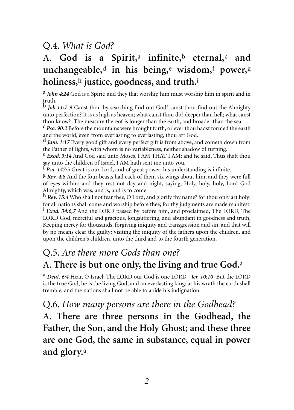#### Q.4. *What is God?*

# A. **God is a Spirit,**<sup>a</sup> **infinite,**<sup>b</sup> **eternal,**<sup>c</sup> **and unchangeable,**<sup>d</sup> **in his being,**<sup>e</sup> **wisdom,**<sup>f</sup> **power,**<sup>g</sup> **holiness,**<sup>h</sup> **justice, goodness, and truth.**<sup>i</sup>

a *John 4:24* God is a Spirit: and they that worship him must worship him in spirit and in truth.

b *Job 11:7-9* Canst thou by searching find out God? canst thou find out the Almighty unto perfection? It is as high as heaven; what canst thou do? deeper than hell; what canst thou know? The measure thereof is longer than the earth, and broader than the sea.

c *Psa. 90:2* Before the mountains were brought forth, or ever thou hadst formed the earth and the world, even from everlasting to everlasting, thou art God.

d *Jam. 1:17* Every good gift and every perfect gift is from above, and cometh down from the Father of lights, with whom is no variableness, neither shadow of turning.

e *Exod. 3:14* And God said unto Moses, I AM THAT I AM: and he said, Thus shalt thou say unto the children of Israel, I AM hath sent me unto you.<br> $f_{\text{Psa. 147:5 Great is our Lord, and of great power: his understanding is infinite.}$ 

 $$$  *Rev.* 4:8 And the four beasts had each of them six wings about him; and they were full of eyes within: and they rest not day and night, saying, Holy, holy, holy, Lord God Almighty, which was, and is, and is to come.

h *Rev. 15:4* Who shall not fear thee, O Lord, and glorify thy name? for thou only art holy: for all nations shall come and worship before thee; for thy judgments are made manifest. <sup>1</sup> *Exod.* 34:6,7 And the LORD passed by before him, and proclaimed, The LORD, The LORD God, merciful and gracious, longsuffering, and abundant in goodness and truth, Keeping mercy for thousands, forgiving iniquity and transgression and sin, and that will by no means clear the guilty; visiting the iniquity of the fathers upon the children, and upon the children's children, unto the third and to the fourth generation.

### Q.5. *Are there more Gods than one?*  A. **There is but one only, the living and true God.**<sup>a</sup>

a *Deut. 6:4* Hear, O Israel: The LORD our God is one LORD *Jer. 10:10* But the LORD is the true God, he is the living God, and an everlasting king: at his wrath the earth shall tremble, and the nations shall not be able to abide his indignation.

#### Q.6. *How many persons are there in the Godhead?*

A. **There are three persons in the Godhead, the Father, the Son, and the Holy Ghost; and these three are one God, the same in substance, equal in power and glory.**<sup>a</sup>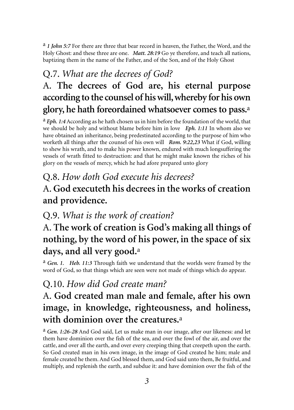a *1 John 5:7* For there are three that bear record in heaven, the Father, the Word, and the Holy Ghost: and these three are one. *Matt. 28:19* Go ye therefore, and teach all nations, baptizing them in the name of the Father, and of the Son, and of the Holy Ghost

# Q.7. *What are the decrees of God?*  A. **The decrees of God are, his eternal purpose according to the counsel of his will, whereby for his own glory, he hath foreordained whatsoever comes to pass.**<sup>a</sup>

a *Eph. 1:4* According as he hath chosen us in him before the foundation of the world, that we should be holy and without blame before him in love *Eph. 1:11* In whom also we have obtained an inheritance, being predestinated according to the purpose of him who worketh all things after the counsel of his own will *Rom. 9:22,23* What if God, willing to shew his wrath, and to make his power known, endured with much longsuffering the vessels of wrath fitted to destruction: and that he might make known the riches of his glory on the vessels of mercy, which he had afore prepared unto glory

# Q.8. *How doth God execute his decrees?*  A. **God executeth his decrees in the works of creation and providence.**

#### Q.9. *What is the work of creation?*

## A. **The work of creation is God's making all things of nothing, by the word of his power, in the space of six days, and all very good.**<sup>a</sup>

a *Gen. 1. Heb. 11:3* Through faith we understand that the worlds were framed by the word of God, so that things which are seen were not made of things which do appear.

#### Q.10. *How did God create man?*

# A. **God created man male and female, after his own image, in knowledge, righteousness, and holiness, with dominion over the creatures.**<sup>a</sup>

a *Gen. 1:26-28* And God said, Let us make man in our image, after our likeness: and let them have dominion over the fish of the sea, and over the fowl of the air, and over the cattle, and over all the earth, and over every creeping thing that creepeth upon the earth. So God created man in his own image, in the image of God created he him; male and female created he them. And God blessed them, and God said unto them, Be fruitful, and multiply, and replenish the earth, and subdue it: and have dominion over the fish of the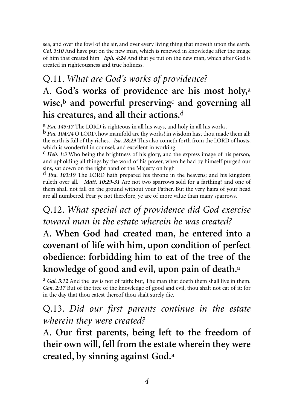sea, and over the fowl of the air, and over every living thing that moveth upon the earth. *Col. 3:10* And have put on the new man, which is renewed in knowledge after the image of him that created him *Eph. 4:24* And that ye put on the new man, which after God is created in righteousness and true holiness.

# Q.11. *What are God's works of providence?*  A. **God's works of providence are his most holy,**<sup>a</sup> **wise,**<sup>b</sup> **and powerful preserving**<sup>c</sup> **and governing all his creatures, and all their actions.**<sup>d</sup>

<sup>a</sup> *Psa. 145:17* The LORD is righteous in all his ways, and holy in all his works. <sup>b</sup> *Psa. 104:24* O LORD, how manifold are thy works! in wisdom hast thou made them all:

the earth is full of thy riches. *Isa. 28:29* This also cometh forth from the LORD of hosts, which is wonderful in counsel, and excellent in working.

c *Heb. 1:3* Who being the brightness of his glory, and the express image of his person, and upholding all things by the word of his power, when he had by himself purged our sins, sat down on the right hand of the Majesty on high

d *Psa. 103:19* The LORD hath prepared his throne in the heavens; and his kingdom ruleth over all. *Matt. 10:29-31* Are not two sparrows sold for a farthing? and one of them shall not fall on the ground without your Father. But the very hairs of your head are all numbered. Fear ye not therefore, ye are of more value than many sparrows.

### Q.12. *What special act of providence did God exercise toward man in the estate wherein he was created?*

# A. **When God had created man, he entered into a covenant of life with him, upon condition of perfect obedience: forbidding him to eat of the tree of the knowledge of good and evil, upon pain of death.**<sup>a</sup>

a *Gal. 3:12* And the law is not of faith: but, The man that doeth them shall live in them. *Gen. 2:17* But of the tree of the knowledge of good and evil, thou shalt not eat of it: for in the day that thou eatest thereof thou shalt surely die.

#### Q.13. *Did our first parents continue in the estate wherein they were created?*

A. **Our first parents, being left to the freedom of their own will, fell from the estate wherein they were created, by sinning against God.**<sup>a</sup>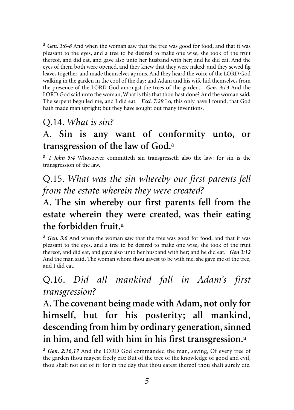a *Gen. 3:6-8* And when the woman saw that the tree was good for food, and that it was pleasant to the eyes, and a tree to be desired to make one wise, she took of the fruit thereof, and did eat, and gave also unto her husband with her; and he did eat. And the eyes of them both were opened, and they knew that they were naked; and they sewed fig leaves together, and made themselves aprons. And they heard the voice of the LORD God walking in the garden in the cool of the day: and Adam and his wife hid themselves from the presence of the LORD God amongst the trees of the garden. *Gen. 3:13* And the LORD God said unto the woman, What is this that thou hast done? And the woman said, The serpent beguiled me, and I did eat. *Eccl. 7:29* Lo, this only have I found, that God hath made man upright; but they have sought out many inventions.

#### Q.14. *What is sin?*

#### A. **Sin is any want of conformity unto, or transgression of the law of God.**<sup>a</sup>

a *1 John 3:4* Whosoever committeth sin transgresseth also the law: for sin is the transgression of the law.

Q.15. *What was the sin whereby our first parents fell from the estate wherein they were created?*

### A. **The sin whereby our first parents fell from the estate wherein they were created, was their eating the forbidden fruit.**<sup>a</sup>

a *Gen. 3:6* And when the woman saw that the tree was good for food, and that it was pleasant to the eyes, and a tree to be desired to make one wise, she took of the fruit thereof, and did eat, and gave also unto her husband with her; and he did eat. *Gen 3:12* And the man said, The woman whom thou gavest to be with me, she gave me of the tree, and I did eat.

#### Q.16. *Did all mankind fall in Adam's first transgression?*

A. **The covenant being made with Adam, not only for himself, but for his posterity; all mankind, descending from him by ordinary generation, sinned in him, and fell with him in his first transgression.**<sup>a</sup>

a *Gen. 2:16,17* And the LORD God commanded the man, saying, Of every tree of the garden thou mayest freely eat: But of the tree of the knowledge of good and evil, thou shalt not eat of it: for in the day that thou eatest thereof thou shalt surely die.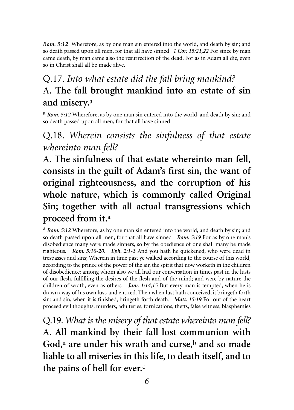*Rom. 5:12* Wherefore, as by one man sin entered into the world, and death by sin; and so death passed upon all men, for that all have sinned *1 Cor. 15:21,22* For since by man came death, by man came also the resurrection of the dead. For as in Adam all die, even so in Christ shall all be made alive.

## Q.17. *Into what estate did the fall bring mankind?*  A. **The fall brought mankind into an estate of sin and misery.**<sup>a</sup>

a *Rom. 5:12* Wherefore, as by one man sin entered into the world, and death by sin; and so death passed upon all men, for that all have sinned

#### Q.18. *Wherein consists the sinfulness of that estate whereinto man fell?*

A. **The sinfulness of that estate whereinto man fell, consists in the guilt of Adam's first sin, the want of original righteousness, and the corruption of his whole nature, which is commonly called Original Sin; together with all actual transgressions which proceed from it.**<sup>a</sup>

a *Rom. 5:12* Wherefore, as by one man sin entered into the world, and death by sin; and so death passed upon all men, for that all have sinned *Rom. 5:19* For as by one man's disobedience many were made sinners, so by the obedience of one shall many be made righteous. *Rom. 5:10-20*. *Eph. 2:1-3* And you hath he quickened, who were dead in trespasses and sins; Wherein in time past ye walked according to the course of this world, according to the prince of the power of the air, the spirit that now worketh in the children of disobedience: among whom also we all had our conversation in times past in the lusts of our flesh, fulfilling the desires of the flesh and of the mind; and were by nature the children of wrath, even as others. *Jam. 1:14,15* But every man is tempted, when he is drawn away of his own lust, and enticed. Then when lust hath conceived, it bringeth forth sin: and sin, when it is finished, bringeth forth death. *Matt. 15:19* For out of the heart proceed evil thoughts, murders, adulteries, fornications, thefts, false witness, blasphemies

Q.19. *What is the misery of that estate whereinto man fell?*  A. **All mankind by their fall lost communion with God,**<sup>a</sup> **are under his wrath and curse,**<sup>b</sup> **and so made liable to all miseries in this life, to death itself, and to the pains of hell for ever.**<sup>c</sup>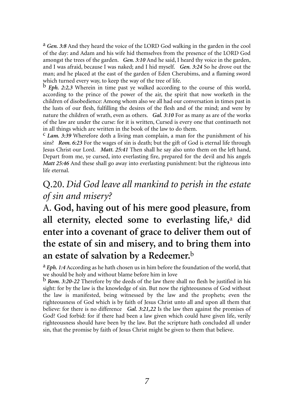a *Gen. 3:8* And they heard the voice of the LORD God walking in the garden in the cool of the day: and Adam and his wife hid themselves from the presence of the LORD God amongst the trees of the garden. *Gen. 3:10* And he said, I heard thy voice in the garden, and I was afraid, because I was naked; and I hid myself. *Gen. 3:24* So he drove out the man; and he placed at the east of the garden of Eden Cherubims, and a flaming sword which turned every way, to keep the way of the tree of life.

b *Eph. 2:2,3* Wherein in time past ye walked according to the course of this world, according to the prince of the power of the air, the spirit that now worketh in the children of disobedience: Among whom also we all had our conversation in times past in the lusts of our flesh, fulfilling the desires of the flesh and of the mind; and were by nature the children of wrath, even as others. *Gal. 3:10* For as many as are of the works of the law are under the curse: for it is written, Cursed is every one that continueth not in all things which are written in the book of the law to do them.

c *Lam. 3:39* Wherefore doth a living man complain, a man for the punishment of his sins? *Rom. 6:23* For the wages of sin is death; but the gift of God is eternal life through Jesus Christ our Lord. *Matt. 25:41* Then shall he say also unto them on the left hand, Depart from me, ye cursed, into everlasting fire, prepared for the devil and his angels *Matt 25:46* And these shall go away into everlasting punishment: but the righteous into life eternal.

#### Q.20. *Did God leave all mankind to perish in the estate of sin and misery?*

# A. **God, having out of his mere good pleasure, from all eternity, elected some to everlasting life,**<sup>a</sup> **did enter into a covenant of grace to deliver them out of the estate of sin and misery, and to bring them into an estate of salvation by a Redeemer.**<sup>b</sup>

a *Eph. 1:4* According as he hath chosen us in him before the foundation of the world, that we should be holy and without blame before him in love

b *Rom. 3:20-22* Therefore by the deeds of the law there shall no flesh be justified in his sight: for by the law is the knowledge of sin. But now the righteousness of God without the law is manifested, being witnessed by the law and the prophets; even the righteousness of God which is by faith of Jesus Christ unto all and upon all them that believe: for there is no difference *Gal. 3:21,22* Is the law then against the promises of God? God forbid: for if there had been a law given which could have given life, verily righteousness should have been by the law. But the scripture hath concluded all under sin, that the promise by faith of Jesus Christ might be given to them that believe.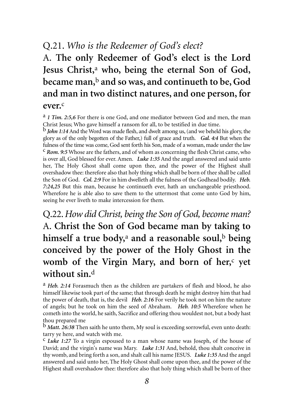#### Q.21. *Who is the Redeemer of God's elect?*

A. **The only Redeemer of God's elect is the Lord Jesus Christ,**<sup>a</sup> **who, being the eternal Son of God, became man,**<sup>b</sup> **and so was, and continueth to be, God and man in two distinct natures, and one person, for ever.**<sup>c</sup>

a *1 Tim. 2:5,6* For there is one God, and one mediator between God and men, the man Christ Jesus; Who gave himself a ransom for all, to be testified in due time.

b *John 1:14* And the Word was made flesh, and dwelt among us, (and we beheld his glory, the glory as of the only begotten of the Father,) full of grace and truth. *Gal. 4:4* But when the fulness of the time was come, God sent forth his Son, made of a woman, made under the law c *Rom. 9:5* Whose are the fathers, and of whom as concerning the flesh Christ came, who is over all, God blessed for ever. Amen. *Luke 1:35* And the angel answered and said unto her, The Holy Ghost shall come upon thee, and the power of the Highest shall overshadow thee: therefore also that holy thing which shall be born of thee shall be called the Son of God. *Col. 2:9* For in him dwelleth all the fulness of the Godhead bodily. *Heb. 7:24,25* But this man, because he continueth ever, hath an unchangeable priesthood. Wherefore he is able also to save them to the uttermost that come unto God by him, seeing he ever liveth to make intercession for them.

Q.22.*How did Christ, being the Son of God, become man?*  A. **Christ the Son of God became man by taking to himself a true body,**<sup>a</sup> **and a reasonable soul,**<sup>b</sup> **being conceived by the power of the Holy Ghost in the womb of the Virgin Mary, and born of her,**<sup>c</sup> **yet without sin.**<sup>d</sup>

a *Heb. 2:14* Forasmuch then as the children are partakers of flesh and blood, he also himself likewise took part of the same; that through death he might destroy him that had the power of death, that is, the devil *Heb. 2:16* For verily he took not on him the nature of angels; but he took on him the seed of Abraham. *Heb. 10:5* Wherefore when he cometh into the world, he saith, Sacrifice and offering thou wouldest not, but a body hast thou prepared me

b *Matt. 26:38* Then saith he unto them, My soul is exceeding sorrowful, even unto death: tarry ye here, and watch with me.

c *Luke 1:27* To a virgin espoused to a man whose name was Joseph, of the house of David; and the virgin's name was Mary. *Luke 1:31* And, behold, thou shalt conceive in thy womb, and bring forth a son, and shalt call his name JESUS. *Luke 1:35* And the angel answered and said unto her, The Holy Ghost shall come upon thee, and the power of the Highest shall overshadow thee: therefore also that holy thing which shall be born of thee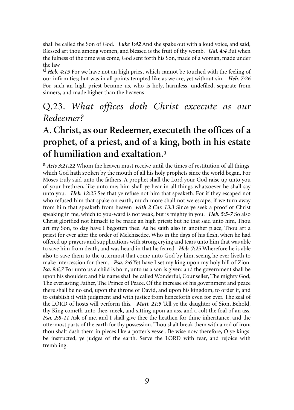shall be called the Son of God. *Luke 1:42* And she spake out with a loud voice, and said, Blessed art thou among women, and blessed is the fruit of thy womb. *Gal. 4:4* But when the fulness of the time was come, God sent forth his Son, made of a woman, made under the law

d *Heb. 4:15* For we have not an high priest which cannot be touched with the feeling of our infirmities; but was in all points tempted like as we are, yet without sin. *Heb. 7:26* For such an high priest became us, who is holy, harmless, undefiled, separate from sinners, and made higher than the heavens

#### Q.23. *What offices doth Christ excecute as our Redeemer?*

## A. **Christ, as our Redeemer, executeth the offices of a prophet, of a priest, and of a king, both in his estate of humiliation and exaltation.**<sup>a</sup>

a *Acts 3:21,22* Whom the heaven must receive until the times of restitution of all things, which God hath spoken by the mouth of all his holy prophets since the world began. For Moses truly said unto the fathers, A prophet shall the Lord your God raise up unto you of your brethren, like unto me; him shall ye hear in all things whatsoever he shall say unto you. *Heb. 12:25* See that ye refuse not him that speaketh. For if they escaped not who refused him that spake on earth, much more shall not we escape, if we turn away from him that speaketh from heaven *with 2 Cor. 13:3* Since ye seek a proof of Christ speaking in me, which to you-ward is not weak, but is mighty in you. *Heb. 5:5-7* So also Christ glorified not himself to be made an high priest; but he that said unto him, Thou art my Son, to day have I begotten thee. As he saith also in another place, Thou art a priest for ever after the order of Melchisedec. Who in the days of his flesh, when he had offered up prayers and supplications with strong crying and tears unto him that was able to save him from death, and was heard in that he feared *Heb. 7:25* Wherefore he is able also to save them to the uttermost that come unto God by him, seeing he ever liveth to make intercession for them. *Psa. 2:6* Yet have I set my king upon my holy hill of Zion. *Isa. 9:6,7* For unto us a child is born, unto us a son is given: and the government shall be upon his shoulder: and his name shall be called Wonderful, Counseller, The mighty God, The everlasting Father, The Prince of Peace. Of the increase of his government and peace there shall be no end, upon the throne of David, and upon his kingdom, to order it, and to establish it with judgment and with justice from henceforth even for ever. The zeal of the LORD of hosts will perform this. *Matt. 21:5* Tell ye the daughter of Sion, Behold, thy King cometh unto thee, meek, and sitting upon an ass, and a colt the foal of an ass. *Psa. 2:8-11* Ask of me, and I shall give thee the heathen for thine inheritance, and the uttermost parts of the earth for thy possession. Thou shalt break them with a rod of iron; thou shalt dash them in pieces like a potter's vessel. Be wise now therefore, O ye kings: be instructed, ye judges of the earth. Serve the LORD with fear, and rejoice with trembling.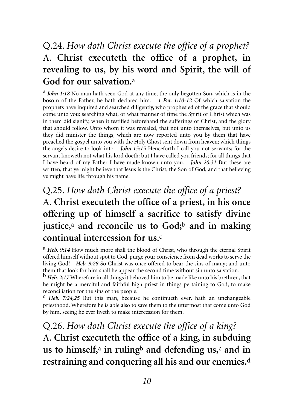### Q.24. *How doth Christ execute the office of a prophet?*  A. **Christ executeth the office of a prophet, in revealing to us, by his word and Spirit, the will of God for our salvation.**<sup>a</sup>

a *John 1:18* No man hath seen God at any time; the only begotten Son, which is in the bosom of the Father, he hath declared him. *1 Pet. 1:10-12* Of which salvation the prophets have inquired and searched diligently, who prophesied of the grace that should come unto you: searching what, or what manner of time the Spirit of Christ which was in them did signify, when it testified beforehand the sufferings of Christ, and the glory that should follow. Unto whom it was revealed, that not unto themselves, but unto us they did minister the things, which are now reported unto you by them that have preached the gospel unto you with the Holy Ghost sent down from heaven; which things the angels desire to look into. *John 15:15* Henceforth I call you not servants; for the servant knoweth not what his lord doeth: but I have called you friends; for all things that I have heard of my Father I have made known unto you. *John 20:31* But these are written, that ye might believe that Jesus is the Christ, the Son of God; and that believing ye might have life through his name.

# Q.25. *How doth Christ execute the office of a priest?*  A. **Christ executeth the office of a priest, in his once offering up of himself a sacrifice to satisfy divine justice,**<sup>a</sup> **and reconcile us to God;**<sup>b</sup> **and in making continual intercession for us.**<sup>c</sup>

a *Heb. 9:14* How much more shall the blood of Christ, who through the eternal Spirit offered himself without spot to God, purge your conscience from dead works to serve the living God? *Heb. 9:28* So Christ was once offered to bear the sins of many; and unto them that look for him shall he appear the second time without sin unto salvation.

b *Heb. 2:17* Wherefore in all things it behoved him to be made like unto his brethren, that he might be a merciful and faithful high priest in things pertaining to God, to make reconciliation for the sins of the people.

c *Heb. 7:24,25* But this man, because he continueth ever, hath an unchangeable priesthood. Wherefore he is able also to save them to the uttermost that come unto God by him, seeing he ever liveth to make intercession for them.

Q.26. *How doth Christ execute the office of a king?*  A. **Christ executeth the office of a king, in subduing us to himself,**<sup>a</sup> **in ruling**<sup>b</sup> **and defending us,**<sup>c</sup> **and in restraining and conquering all his and our enemies.**<sup>d</sup>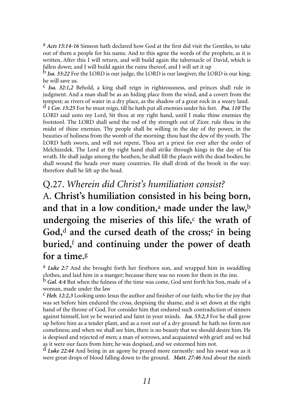a *Acts 15:14-16* Simeon hath declared how God at the first did visit the Gentiles, to take out of them a people for his name. And to this agree the words of the prophets; as it is written, After this I will return, and will build again the tabernacle of David, which is fallen down; and I will build again the ruins thereof, and I will set it up

b *Isa. 33:22* For the LORD is our judge, the LORD is our lawgiver, the LORD is our king; he will save us.

c *Isa. 32:1,2* Behold, a king shall reign in righteousness, and princes shall rule in judgment. And a man shall be as an hiding place from the wind, and a covert from the tempest; as rivers of water in a dry place, as the shadow of a great rock in a weary land. d *1 Cor. 15:25* For he must reign, till he hath put all enemies under his feet. *Psa. 110* The LORD said unto my Lord, Sit thou at my right hand, until I make thine enemies thy footstool. The LORD shall send the rod of thy strength out of Zion: rule thou in the midst of thine enemies. Thy people shall be willing in the day of thy power, in the beauties of holiness from the womb of the morning: thou hast the dew of thy youth. The LORD hath sworn, and will not repent, Thou art a priest for ever after the order of Melchizedek. The Lord at thy right hand shall strike through kings in the day of his wrath. He shall judge among the heathen, he shall fill the places with the dead bodies; he shall wound the heads over many countries. He shall drink of the brook in the way: therefore shall he lift up the head.

#### Q.27. *Wherein did Christ's humiliation consist?*

A. **Christ's humiliation consisted in his being born, and that in a low condition,**<sup>a</sup> **made under the law,**<sup>b</sup> undergoing the miseries of this life, $c$  the wrath of **God,**<sup>d</sup> **and the cursed death of the cross;**<sup>e</sup> **in being buried,**<sup>f</sup> **and continuing under the power of death for a time.**<sup>g</sup>

a *Luke 2:7* And she brought forth her firstborn son, and wrapped him in swaddling clothes, and laid him in a manger; because there was no room for them in the inn.

b *Gal. 4:4* But when the fulness of the time was come, God sent forth his Son, made of a woman, made under the law

c *Heb. 12:2,3* Looking unto Jesus the author and finisher of our faith; who for the joy that was set before him endured the cross, despising the shame, and is set down at the right hand of the throne of God. For consider him that endured such contradiction of sinners against himself, lest ye be wearied and faint in your minds. *Isa. 53:2,3* For he shall grow up before him as a tender plant, and as a root out of a dry ground: he hath no form nor comeliness; and when we shall see him, there is no beauty that we should desire him. He is despised and rejected of men; a man of sorrows, and acquainted with grief: and we hid as it were our faces from him; he was despised, and we esteemed him not.

d *Luke 22:44* And being in an agony he prayed more earnestly: and his sweat was as it were great drops of blood falling down to the ground. *Matt. 27:46* And about the ninth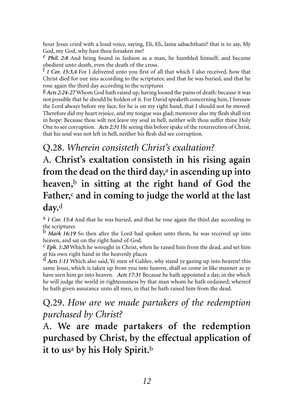hour Jesus cried with a loud voice, saying, Eli, Eli, lama sabachthani? that is to say, My God, my God, why hast thou forsaken me?

e *Phil. 2:8* And being found in fashion as a man, he humbled himself, and became obedient unto death, even the death of the cross.

f *1 Cor. 15:3,4* For I delivered unto you first of all that which I also received, how that Christ died for our sins according to the scriptures; and that he was buried, and that he rose again the third day according to the scriptures

g *Acts 2:24-27* Whom God hath raised up, having loosed the pains of death: because it was not possible that he should be holden of it. For David speaketh concerning him, I foresaw the Lord always before my face, for he is on my right hand, that I should not be moved: Therefore did my heart rejoice, and my tongue was glad; moreover also my flesh shall rest in hope: Because thou wilt not leave my soul in hell, neither wilt thou suffer thine Holy One to see corruption. *Acts 2:31* He seeing this before spake of the resurrection of Christ, that his soul was not left in hell, neither his flesh did see corruption.

#### Q.28. *Wherein consisteth Christ's exaltation?*

A. **Christ's exaltation consisteth in his rising again from the dead on the third day,**<sup>a</sup> **in ascending up into heaven,**<sup>b</sup> **in sitting at the right hand of God the Father,**<sup>c</sup> **and in coming to judge the world at the last day.**<sup>d</sup>

a *1 Cor. 15:4* And that he was buried, and that he rose again the third day according to the scriptures

b *Mark 16:19* So then after the Lord had spoken unto them, he was received up into heaven, and sat on the right hand of God.

c *Eph. 1:20* Which he wrought in Christ, when he raised him from the dead, and set him

at his own right hand in the heavenly places d *Acts 1:11* Which also said, Ye men of Galilee, why stand ye gazing up into heaven? this same Jesus, which is taken up from you into heaven, shall so come in like manner as ye have seen him go into heaven. *Acts 17:31* Because he hath appointed a day, in the which he will judge the world in righteousness by that man whom he hath ordained; whereof he hath given assurance unto all men, in that he hath raised him from the dead.

#### Q.29. *How are we made partakers of the redemption purchased by Christ?*

A. **We are made partakers of the redemption purchased by Christ, by the effectual application of it to us**<sup>a</sup> **by his Holy Spirit.**<sup>b</sup>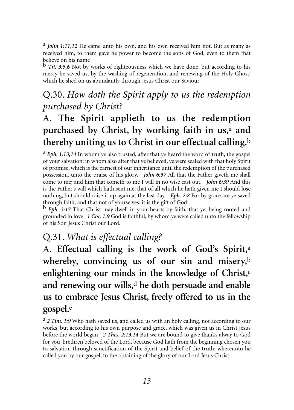a *John 1:11,12* He came unto his own, and his own received him not. But as many as received him, to them gave he power to become the sons of God, even to them that believe on his name

b *Tit. 3:5,6* Not by works of righteousness which we have done, but according to his mercy he saved us, by the washing of regeneration, and renewing of the Holy Ghost; which he shed on us abundantly through Jesus Christ our Saviour

#### Q.30. *How doth the Spirit apply to us the redemption purchased by Christ?*

# A. **The Spirit applieth to us the redemption purchased by Christ, by working faith in us,**<sup>a</sup> **and thereby uniting us to Christ in our effectual calling.**<sup>b</sup>

a *Eph. 1:13,14* In whom ye also trusted, after that ye heard the word of truth, the gospel of your salvation: in whom also after that ye believed, ye were sealed with that holy Spirit of promise, which is the earnest of our inheritance until the redemption of the purchased possession, unto the praise of his glory. *John 6:37* All that the Father giveth me shall come to me; and him that cometh to me I will in no wise cast out. *John 6:39* And this is the Father's will which hath sent me, that of all which he hath given me I should lose nothing, but should raise it up again at the last day. *Eph. 2:8* For by grace are ye saved through faith; and that not of yourselves: it is the gift of God:

b *Eph. 3:17* That Christ may dwell in your hearts by faith; that ye, being rooted and grounded in love *1 Cor. 1:9* God is faithful, by whom ye were called unto the fellowship of his Son Jesus Christ our Lord.

#### Q.31. *What is effectual calling?*

A. **Effectual calling is the work of God's Spirit,**<sup>a</sup> **whereby, convincing us of our sin and misery,**<sup>b</sup> enlightening our minds in the knowledge of Christ,<sup>c</sup> **and renewing our wills,**<sup>d</sup> **he doth persuade and enable us to embrace Jesus Christ, freely offered to us in the gospel.**<sup>e</sup>

a *2 Tim. 1:9* Who hath saved us, and called us with an holy calling, not according to our works, but according to his own purpose and grace, which was given us in Christ Jesus before the world began *2 Thes. 2:13,14* But we are bound to give thanks alway to God for you, brethren beloved of the Lord, because God hath from the beginning chosen you to salvation through sanctification of the Spirit and belief of the truth: whereunto he called you by our gospel, to the obtaining of the glory of our Lord Jesus Christ.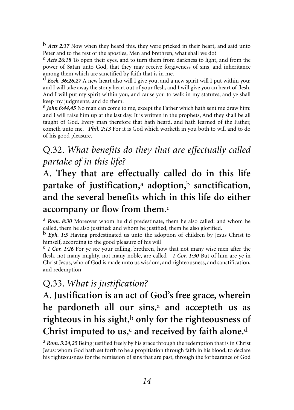b *Acts 2:37* Now when they heard this, they were pricked in their heart, and said unto Peter and to the rest of the apostles, Men and brethren, what shall we do?

c *Acts 26:18* To open their eyes, and to turn them from darkness to light, and from the power of Satan unto God, that they may receive forgiveness of sins, and inheritance among them which are sanctified by faith that is in me.

d *Ezek. 36:26,27* A new heart also will I give you, and a new spirit will I put within you: and I will take away the stony heart out of your flesh, and I will give you an heart of flesh. And I will put my spirit within you, and cause you to walk in my statutes, and ye shall keep my judgments, and do them.

e *John 6:44,45* No man can come to me, except the Father which hath sent me draw him: and I will raise him up at the last day. It is written in the prophets, And they shall be all taught of God. Every man therefore that hath heard, and hath learned of the Father, cometh unto me. *Phil. 2:13* For it is God which worketh in you both to will and to do of his good pleasure.

#### Q.32. *What benefits do they that are effectually called partake of in this life?*

# A. **They that are effectually called do in this life partake of justification,**<sup>a</sup> **adoption,**<sup>b</sup> **sanctification, and the several benefits which in this life do either accompany or flow from them.**<sup>c</sup>

a *Rom. 8:30* Moreover whom he did predestinate, them he also called: and whom he called, them he also justified: and whom he justified, them he also glorified.

b *Eph. 1:5* Having predestinated us unto the adoption of children by Jesus Christ to himself, according to the good pleasure of his will

c *1 Cor. 1:26* For ye see your calling, brethren, how that not many wise men after the flesh, not many mighty, not many noble, are called *1 Cor. 1:30* But of him are ye in Christ Jesus, who of God is made unto us wisdom, and righteousness, and sanctification, and redemption

#### Q.33. *What is justification?*

# A. **Justification is an act of God's free grace, wherein he pardoneth all our sins,**<sup>a</sup> **and accepteth us as righteous in his sight,**<sup>b</sup> **only for the righteousness of Christ imputed to us,**<sup>c</sup> **and received by faith alone.**<sup>d</sup>

a *Rom. 3:24,25* Being justified freely by his grace through the redemption that is in Christ Jesus: whom God hath set forth to be a propitiation through faith in his blood, to declare his righteousness for the remission of sins that are past, through the forbearance of God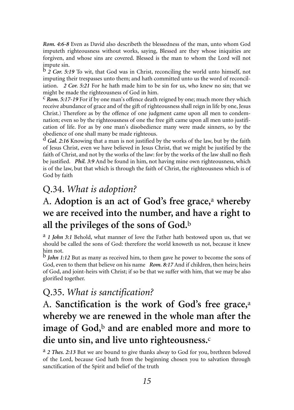*Rom. 4:6-8* Even as David also describeth the blessedness of the man, unto whom God imputeth righteousness without works, saying, Blessed are they whose iniquities are forgiven, and whose sins are covered. Blessed is the man to whom the Lord will not impute sin.

b *2 Cor. 5:19* To wit, that God was in Christ, reconciling the world unto himself, not imputing their trespasses unto them; and hath committed unto us the word of reconciliation. *2 Cor. 5:21* For he hath made him to be sin for us, who knew no sin; that we might be made the righteousness of God in him.

c *Rom. 5:17-19* For if by one man's offence death reigned by one; much more they which receive abundance of grace and of the gift of righteousness shall reign in life by one, Jesus Christ.) Therefore as by the offence of one judgment came upon all men to condemnation; even so by the righteousness of one the free gift came upon all men unto justification of life. For as by one man's disobedience many were made sinners, so by the obedience of one shall many be made righteous.

d *Gal. 2:16* Knowing that a man is not justified by the works of the law, but by the faith of Jesus Christ, even we have believed in Jesus Christ, that we might be justified by the faith of Christ, and not by the works of the law: for by the works of the law shall no flesh be justified. *Phil. 3:9* And be found in him, not having mine own righteousness, which is of the law, but that which is through the faith of Christ, the righteousness which is of God by faith

#### Q.34. *What is adoption?*

#### A. **Adoption is an act of God's free grace,**<sup>a</sup> **whereby we are received into the number, and have a right to all the privileges of the sons of God.**<sup>b</sup>

a *1 John 3:1* Behold, what manner of love the Father hath bestowed upon us, that we should be called the sons of God: therefore the world knoweth us not, because it knew him not.

b *John 1:12* But as many as received him, to them gave he power to become the sons of God, even to them that believe on his name *Rom. 8:17* And if children, then heirs; heirs of God, and joint-heirs with Christ; if so be that we suffer with him, that we may be also glorified together.

#### Q.35. *What is sanctification?*

# A. **Sanctification is the work of God's free grace,**<sup>a</sup> **whereby we are renewed in the whole man after the image of God,**<sup>b</sup> **and are enabled more and more to die unto sin, and live unto righteousness.**<sup>c</sup>

a *2 Thes. 2:13* But we are bound to give thanks alway to God for you, brethren beloved of the Lord, because God hath from the beginning chosen you to salvation through sanctification of the Spirit and belief of the truth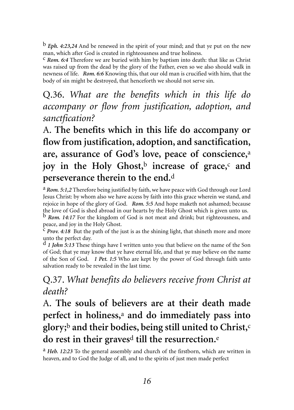b *Eph. 4:23,24* And be renewed in the spirit of your mind; and that ye put on the new man, which after God is created in righteousness and true holiness.

c *Rom. 6:4* Therefore we are buried with him by baptism into death: that like as Christ was raised up from the dead by the glory of the Father, even so we also should walk in newness of life. *Rom. 6:6* Knowing this, that our old man is crucified with him, that the body of sin might be destroyed, that henceforth we should not serve sin.

Q.36. *What are the benefits which in this life do accompany or flow from justification, adoption, and sanctfication?* 

A. **The benefits which in this life do accompany or flow from justification, adoption, and sanctification, are, assurance of God's love, peace of conscience,**<sup>a</sup> **joy in the Holy Ghost,**<sup>b</sup> **increase of grace,**<sup>c</sup> **and perseverance therein to the end.**<sup>d</sup>

a *Rom. 5:1,2* Therefore being justified by faith, we have peace with God through our Lord Jesus Christ: by whom also we have access by faith into this grace wherein we stand, and rejoice in hope of the glory of God. *Rom. 5:5* And hope maketh not ashamed; because the love of God is shed abroad in our hearts by the Holy Ghost which is given unto us.

b *Rom. 14:17* For the kingdom of God is not meat and drink; but righteousness, and peace, and joy in the Holy Ghost.

c *Prov. 4:18* But the path of the just is as the shining light, that shineth more and more unto the perfect day.

d *1 John 5:13* These things have I written unto you that believe on the name of the Son of God; that ye may know that ye have eternal life, and that ye may believe on the name of the Son of God. *1 Pet. 1:5* Who are kept by the power of God through faith unto salvation ready to be revealed in the last time.

Q.37. *What benefits do believers receive from Christ at death?*

A. **The souls of believers are at their death made perfect in holiness,**<sup>a</sup> **and do immediately pass into glory;**<sup>b</sup> **and their bodies, being still united to Christ,**<sup>c</sup> **do rest in their graves**<sup>d</sup> **till the resurrection.**<sup>e</sup>

a *Heb. 12:23* To the general assembly and church of the firstborn, which are written in heaven, and to God the Judge of all, and to the spirits of just men made perfect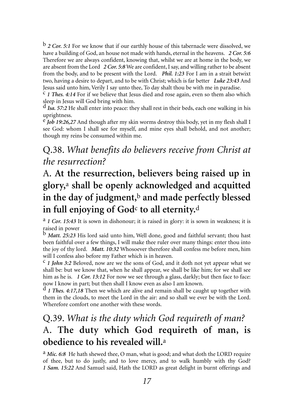b *2 Cor. 5:1* For we know that if our earthly house of this tabernacle were dissolved, we have a building of God, an house not made with hands, eternal in the heavens. *2 Cor. 5:6* Therefore we are always confident, knowing that, whilst we are at home in the body, we are absent from the Lord *2 Cor. 5:8* We are confident, I say, and willing rather to be absent from the body, and to be present with the Lord. *Phil. 1:23* For I am in a strait betwixt two, having a desire to depart, and to be with Christ; which is far better *Luke 23:43* And Jesus said unto him, Verily I say unto thee, To day shalt thou be with me in paradise.

c *1 Thes. 4:14* For if we believe that Jesus died and rose again, even so them also which sleep in Jesus will God bring with him.

d *Isa. 57:2* He shall enter into peace: they shall rest in their beds, each one walking in his uprightness.

e *Job 19:26,27* And though after my skin worms destroy this body, yet in my flesh shall I see God: whom I shall see for myself, and mine eyes shall behold, and not another; though my reins be consumed within me.

#### Q.38. *What benefits do believers receive from Christ at the resurrection?*

# A. **At the resurrection, believers being raised up in glory,**<sup>a</sup> **shall be openly acknowledged and acquitted in the day of judgment,**<sup>b</sup> **and made perfectly blessed** in full enjoying of God<sup>c</sup> to all eternity.<sup>d</sup>

a *1 Cor. 15:43* It is sown in dishonour; it is raised in glory: it is sown in weakness; it is raised in power

b *Matt. 25:23* His lord said unto him, Well done, good and faithful servant; thou hast been faithful over a few things, I will make thee ruler over many things: enter thou into the joy of thy lord. *Matt. 10:32* Whosoever therefore shall confess me before men, him will I confess also before my Father which is in heaven.

c *1 John 3:2* Beloved, now are we the sons of God, and it doth not yet appear what we shall be: but we know that, when he shall appear, we shall be like him; for we shall see him as he is. *1 Cor. 13:12* For now we see through a glass, darkly; but then face to face: now I know in part; but then shall I know even as also I am known.

d *1 Thes. 4:17,18* Then we which are alive and remain shall be caught up together with them in the clouds, to meet the Lord in the air: and so shall we ever be with the Lord. Wherefore comfort one another with these words.

### Q.39. *What is the duty which God requireth of man?*  A. **The duty which God requireth of man, is obedience to his revealed will.**<sup>a</sup>

a *Mic. 6:8* He hath shewed thee, O man, what is good; and what doth the LORD require of thee, but to do justly, and to love mercy, and to walk humbly with thy God? *1 Sam. 15:22* And Samuel said, Hath the LORD as great delight in burnt offerings and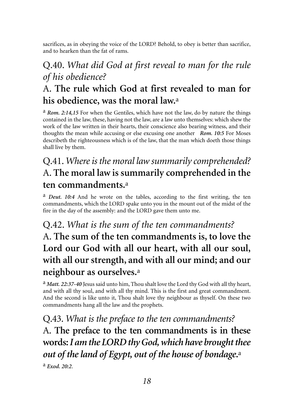sacrifices, as in obeying the voice of the LORD? Behold, to obey is better than sacrifice, and to hearken than the fat of rams.

# Q.40. *What did God at first reveal to man for the rule of his obedience?*

# A. **The rule which God at first revealed to man for his obedience, was the moral law.**<sup>a</sup>

a *Rom. 2:14,15* For when the Gentiles, which have not the law, do by nature the things contained in the law, these, having not the law, are a law unto themselves: which shew the work of the law written in their hearts, their conscience also bearing witness, and their thoughts the mean while accusing or else excusing one another *Rom. 10:5* For Moses describeth the righteousness which is of the law, that the man which doeth those things shall live by them.

# Q.41.*Where is the moral law summarily comprehended?*  A. **The moral law is summarily comprehended in the ten commandments.**<sup>a</sup>

a *Deut. 10:4* And he wrote on the tables, according to the first writing, the ten commandments, which the LORD spake unto you in the mount out of the midst of the fire in the day of the assembly: and the LORD gave them unto me.

# Q.42. *What is the sum of the ten commandments?*  A. **The sum of the ten commandments is, to love the Lord our God with all our heart, with all our soul, with all our strength, and with all our mind; and our neighbour as ourselves.**<sup>a</sup>

a *Matt. 22:37-40* Jesus said unto him, Thou shalt love the Lord thy God with all thy heart, and with all thy soul, and with all thy mind. This is the first and great commandment. And the second is like unto it, Thou shalt love thy neighbour as thyself. On these two commandments hang all the law and the prophets.

Q.43. *What is the preface to the ten commandments?*  A. **The preface to the ten commandments is in these words:***I am the LORD thy God, which have brought thee out of the land of Egypt, out of the house of bondage***.** a

a *Exod. 20:2*.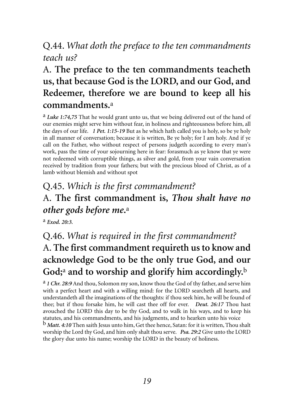#### Q.44. *What doth the preface to the ten commandments teach us?*

# A. **The preface to the ten commandments teacheth us, that because God is the LORD, and our God, and Redeemer, therefore we are bound to keep all his commandments.**<sup>a</sup>

a *Luke 1:74,75* That he would grant unto us, that we being delivered out of the hand of our enemies might serve him without fear, in holiness and righteousness before him, all the days of our life. *1 Pet. 1:15-19* But as he which hath called you is holy, so be ye holy in all manner of conversation; because it is written, Be ye holy; for I am holy. And if ye call on the Father, who without respect of persons judgeth according to every man's work, pass the time of your sojourning here in fear: forasmuch as ye know that ye were not redeemed with corruptible things, as silver and gold, from your vain conversation received by tradition from your fathers; but with the precious blood of Christ, as of a lamb without blemish and without spot

# Q.45. *Which is the first commandment?*  A. **The first commandment is,** *Thou shalt have no other gods before me***.**<sup>a</sup>

a *Exod. 20:3.*

# Q.46. *What is required in the first commandment?*  A. **The first commandment requireth us to know and acknowledge God to be the only true God, and our God;**<sup>a</sup> **and to worship and glorify him accordingly.**<sup>b</sup>

a *1 Chr. 28:9* And thou, Solomon my son, know thou the God of thy father, and serve him with a perfect heart and with a willing mind: for the LORD searcheth all hearts, and understandeth all the imaginations of the thoughts: if thou seek him, he will be found of thee; but if thou forsake him, he will cast thee off for ever. *Deut. 26:17* Thou hast avouched the LORD this day to be thy God, and to walk in his ways, and to keep his statutes, and his commandments, and his judgments, and to hearken unto his voice b *Matt. 4:10* Then saith Jesus unto him, Get thee hence, Satan: for it is written, Thou shalt worship the Lord thy God, and him only shalt thou serve. *Psa. 29:2* Give unto the LORD the glory due unto his name; worship the LORD in the beauty of holiness.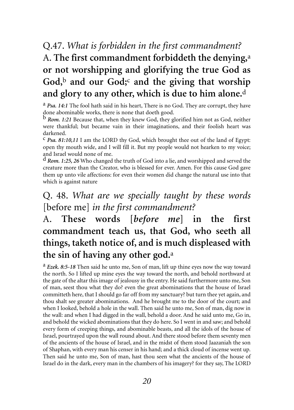# Q.47. *What is forbidden in the first commandment?* A. **The first commandment forbiddeth the denying,**<sup>a</sup> **or not worshipping and glorifying the true God as God,**<sup>b</sup> **and our God;**<sup>c</sup> **and the giving that worship and glory to any other, which is due to him alone.**<sup>d</sup>

a *Psa. 14:1* The fool hath said in his heart, There is no God. They are corrupt, they have done abominable works, there is none that doeth good.

b *Rom. 1:21* Because that, when they knew God, they glorified him not as God, neither were thankful; but became vain in their imaginations, and their foolish heart was darkened.

c *Psa. 81:10,11* I am the LORD thy God, which brought thee out of the land of Egypt: open thy mouth wide, and I will fill it. But my people would not hearken to my voice; and Israel would none of me.

d *Rom. 1:25, 26* Who changed the truth of God into a lie, and worshipped and served the creature more than the Creator, who is blessed for ever. Amen. For this cause God gave them up unto vile affections: for even their women did change the natural use into that which is against nature

#### Q. 48. *What are we specially taught by these words* [before me] *in the first commandment?*

# A. **These words [***before me***] in the first commandment teach us, that God, who seeth all things, taketh notice of, and is much displeased with the sin of having any other god.**<sup>a</sup>

a *Ezek. 8:5-18* Then said he unto me, Son of man, lift up thine eyes now the way toward the north. So I lifted up mine eyes the way toward the north, and behold northward at the gate of the altar this image of jealousy in the entry. He said furthermore unto me, Son of man, seest thou what they do? even the great abominations that the house of Israel committeth here, that I should go far off from my sanctuary? but turn thee yet again, and thou shalt see greater abominations. And he brought me to the door of the court; and when I looked, behold a hole in the wall. Then said he unto me, Son of man, dig now in the wall: and when I had digged in the wall, behold a door. And he said unto me, Go in, and behold the wicked abominations that they do here. So I went in and saw; and behold every form of creeping things, and abominable beasts, and all the idols of the house of Israel, pourtrayed upon the wall round about. And there stood before them seventy men of the ancients of the house of Israel, and in the midst of them stood Jaazaniah the son of Shaphan, with every man his censer in his hand; and a thick cloud of incense went up. Then said he unto me, Son of man, hast thou seen what the ancients of the house of Israel do in the dark, every man in the chambers of his imagery? for they say, The LORD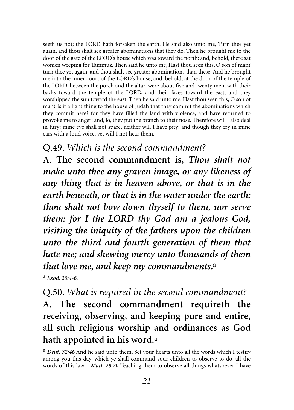seeth us not; the LORD hath forsaken the earth. He said also unto me, Turn thee yet again, and thou shalt see greater abominations that they do. Then he brought me to the door of the gate of the LORD's house which was toward the north; and, behold, there sat women weeping for Tammuz. Then said he unto me, Hast thou seen this, O son of man? turn thee yet again, and thou shalt see greater abominations than these. And he brought me into the inner court of the LORD's house, and, behold, at the door of the temple of the LORD, between the porch and the altar, were about five and twenty men, with their backs toward the temple of the LORD, and their faces toward the east; and they worshipped the sun toward the east. Then he said unto me, Hast thou seen this, O son of man? Is it a light thing to the house of Judah that they commit the abominations which they commit here? for they have filled the land with violence, and have returned to provoke me to anger: and, lo, they put the branch to their nose. Therefore will I also deal in fury: mine eye shall not spare, neither will I have pity: and though they cry in mine ears with a loud voice, yet will I not hear them.

#### Q.49. *Which is the second commandment?*

A. **The second commandment is,** *Thou shalt not make unto thee any graven image, or any likeness of any thing that is in heaven above, or that is in the earth beneath, or that is in the water under the earth: thou shalt not bow down thyself to them, nor serve them: for I the LORD thy God am a jealous God, visiting the iniquity of the fathers upon the children unto the third and fourth generation of them that hate me; and shewing mercy unto thousands of them that love me, and keep my commandments***.**<sup>a</sup>

a *Exod. 20:4-6.*

Q.50. *What is required in the second commandment?* A. **The second commandment requireth the receiving, observing, and keeping pure and entire, all such religious worship and ordinances as God hath appointed in his word.**<sup>a</sup>

a *Deut. 32:46* And he said unto them, Set your hearts unto all the words which I testify among you this day, which ye shall command your children to observe to do, all the words of this law. *Matt. 28:20* Teaching them to observe all things whatsoever I have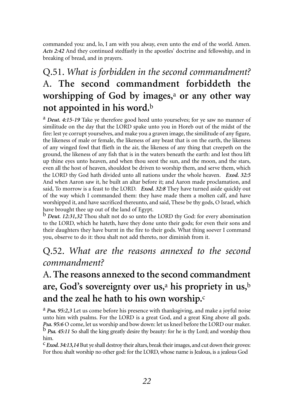commanded you: and, lo, I am with you alway, even unto the end of the world. Amen. *Acts 2:42* And they continued stedfastly in the apostles' doctrine and fellowship, and in breaking of bread, and in prayers.

# Q.51. *What is forbidden in the second commandment?*  A. **The second commandment forbiddeth the worshipping of God by images,**<sup>a</sup> **or any other way not appointed in his word.**<sup>b</sup>

a *Deut. 4:15-19* Take ye therefore good heed unto yourselves; for ye saw no manner of similitude on the day that the LORD spake unto you in Horeb out of the midst of the fire: lest ye corrupt yourselves, and make you a graven image, the similitude of any figure, the likeness of male or female, the likeness of any beast that is on the earth, the likeness of any winged fowl that flieth in the air, the likeness of any thing that creepeth on the ground, the likeness of any fish that is in the waters beneath the earth: and lest thou lift up thine eyes unto heaven, and when thou seest the sun, and the moon, and the stars, even all the host of heaven, shouldest be driven to worship them, and serve them, which the LORD thy God hath divided unto all nations under the whole heaven. *Exod. 32:5* And when Aaron saw it, he built an altar before it; and Aaron made proclamation, and said, To morrow is a feast to the LORD. *Exod. 32:8* They have turned aside quickly out of the way which I commanded them: they have made them a molten calf, and have worshipped it, and have sacrificed thereunto, and said, These be thy gods, O Israel, which have brought thee up out of the land of Egypt.

b *Deut. 12:31,32* Thou shalt not do so unto the LORD thy God: for every abomination to the LORD, which he hateth, have they done unto their gods; for even their sons and their daughters they have burnt in the fire to their gods. What thing soever I command you, observe to do it: thou shalt not add thereto, nor diminish from it.

#### Q.52. *What are the reasons annexed to the second commandment?*

### A. **The reasons annexed to the second commandment are, God's sovereignty over us,**<sup>a</sup> **his propriety in us,**<sup>b</sup> **and the zeal he hath to his own worship.**<sup>c</sup>

a *Psa. 95:2,3* Let us come before his presence with thanksgiving, and make a joyful noise unto him with psalms. For the LORD is a great God, and a great King above all gods. *Psa. 95:6* O come, let us worship and bow down: let us kneel before the LORD our maker.<br><sup>b</sup> *Psa. 45:11* So shall the king greatly desire thy beauty: for he is thy Lord; and worship thou him.

c *Exod. 34:13,14* But ye shall destroy their altars, break their images, and cut down their groves: For thou shalt worship no other god: for the LORD, whose name is Jealous, is a jealous God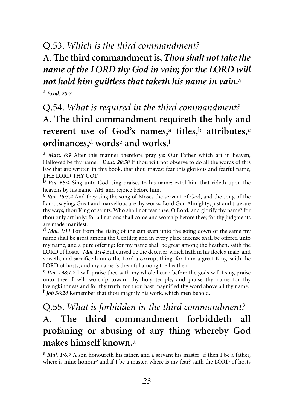#### Q.53. *Which is the third commandment?*

# A. **The third commandment is,***Thou shalt not take the name of the LORD thy God in vain; for the LORD will not hold him guiltless that taketh his name in vain***.**<sup>a</sup>

a *Exod. 20:7.*

# Q.54. *What is required in the third commandment?*  A. **The third commandment requireth the holy and reverent use of God's names,**<sup>a</sup> **titles,**<sup>b</sup> **attributes,**<sup>c</sup> **ordinances,**<sup>d</sup> **words**<sup>e</sup> **and works.**<sup>f</sup>

a *Matt. 6:9* After this manner therefore pray ye: Our Father which art in heaven, Hallowed be thy name. *Deut. 28:58* If thou wilt not observe to do all the words of this law that are written in this book, that thou mayest fear this glorious and fearful name, THE LORD THY GOD

b *Psa. 68:4* Sing unto God, sing praises to his name: extol him that rideth upon the heavens by his name JAH, and rejoice before him.

c *Rev. 15:3,4* And they sing the song of Moses the servant of God, and the song of the Lamb, saying, Great and marvellous are thy works, Lord God Almighty; just and true are thy ways, thou King of saints. Who shall not fear thee, O Lord, and glorify thy name? for thou only art holy: for all nations shall come and worship before thee; for thy judgments are made manifest.

d *Mal. 1:11* For from the rising of the sun even unto the going down of the same my name shall be great among the Gentiles; and in every place incense shall be offered unto my name, and a pure offering: for my name shall be great among the heathen, saith the LORD of hosts. *Mal. 1:14* But cursed be the deceiver, which hath in his flock a male, and voweth, and sacrificeth unto the Lord a corrupt thing: for I am a great King, saith the LORD of hosts, and my name is dreadful among the heathen.

e *Psa. 138:1,2* I will praise thee with my whole heart: before the gods will I sing praise unto thee. I will worship toward thy holy temple, and praise thy name for thy lovingkindness and for thy truth: for thou hast magnified thy word above all thy name. f *Job 36:24* Remember that thou magnify his work, which men behold.

### Q.55. *What is forbidden in the third commandment?*  A. **The third commandment forbiddeth all profaning or abusing of any thing whereby God makes himself known.**<sup>a</sup>

a *Mal. 1:6,7* A son honoureth his father, and a servant his master: if then I be a father, where is mine honour? and if I be a master, where is my fear? saith the LORD of hosts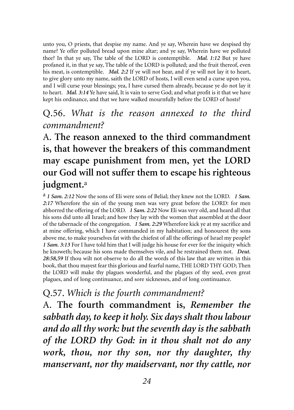unto you, O priests, that despise my name. And ye say, Wherein have we despised thy name? Ye offer polluted bread upon mine altar; and ye say, Wherein have we polluted thee? In that ye say, The table of the LORD is contemptible. *Mal. 1:12* But ye have profaned it, in that ye say, The table of the LORD is polluted; and the fruit thereof, even his meat, is contemptible. *Mal. 2:2* If ye will not hear, and if ye will not lay it to heart, to give glory unto my name, saith the LORD of hosts, I will even send a curse upon you, and I will curse your blessings; yea, I have cursed them already, because ye do not lay it to heart. *Mal. 3:14* Ye have said, It is vain to serve God; and what profit is it that we have kept his ordinance, and that we have walked mournfully before the LORD of hosts?

#### Q.56. *What is the reason annexed to the third commandment?*

# A. **The reason annexed to the third commandment is, that however the breakers of this commandment may escape punishment from men, yet the LORD our God will not suffer them to escape his righteous judgment.**<sup>a</sup>

a *1 Sam. 2:12* Now the sons of Eli were sons of Belial; they knew not the LORD. *1 Sam. 2:17* Wherefore the sin of the young men was very great before the LORD: for men abhorred the offering of the LORD. *1 Sam. 2:22* Now Eli was very old, and heard all that his sons did unto all Israel; and how they lay with the women that assembled at the door of the tabernacle of the congregation. *1 Sam. 2:29* Wherefore kick ye at my sacrifice and at mine offering, which I have commanded in my habitation; and honourest thy sons above me, to make yourselves fat with the chiefest of all the offerings of Israel my people? *1 Sam. 3:13* For I have told him that I will judge his house for ever for the iniquity which he knoweth; because his sons made themselves vile, and he restrained them not. *Deut. 28:58,59* If thou wilt not observe to do all the words of this law that are written in this book, that thou mayest fear this glorious and fearful name, THE LORD THY GOD; Then the LORD will make thy plagues wonderful, and the plagues of thy seed, even great plagues, and of long continuance, and sore sicknesses, and of long continuance.

#### Q.57. *Which is the fourth commandment?*

A. **The fourth commandment is,** *Remember the sabbath day, to keep it holy. Six days shalt thou labour and do all thy work: but the seventh day is the sabbath of the LORD thy God: in it thou shalt not do any work, thou, nor thy son, nor thy daughter, thy manservant, nor thy maidservant, nor thy cattle, nor*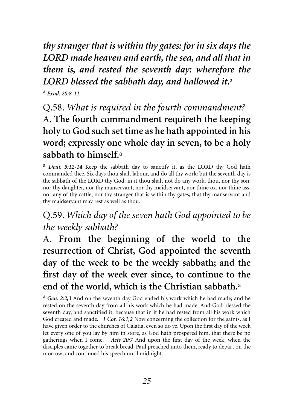*thy stranger that is within thy gates: for in six days the LORD made heaven and earth, the sea, and all that in them is, and rested the seventh day: wherefore the LORD blessed the sabbath day, and hallowed it***.**<sup>a</sup>

a *Exod. 20:8-11.*

Q.58. *What is required in the fourth commandment?*  A. **The fourth commandment requireth the keeping holy to God such set time as he hath appointed in his word; expressly one whole day in seven, to be a holy sabbath to himself.**<sup>a</sup>

a *Deut. 5:12-14* Keep the sabbath day to sanctify it, as the LORD thy God hath commanded thee. Six days thou shalt labour, and do all thy work: but the seventh day is the sabbath of the LORD thy God: in it thou shalt not do any work, thou, nor thy son, nor thy daughter, nor thy manservant, nor thy maidservant, nor thine ox, nor thine ass, nor any of thy cattle, nor thy stranger that is within thy gates; that thy manservant and thy maidservant may rest as well as thou.

### Q.59. *Which day of the seven hath God appointed to be the weekly sabbath?*

A. **From the beginning of the world to the resurrection of Christ, God appointed the seventh day of the week to be the weekly sabbath; and the first day of the week ever since, to continue to the end of the world, which is the Christian sabbath.**<sup>a</sup>

a *Gen. 2:2,3* And on the seventh day God ended his work which he had made; and he rested on the seventh day from all his work which he had made. And God blessed the seventh day, and sanctified it: because that in it he had rested from all his work which God created and made. *1 Cor. 16:1,2* Now concerning the collection for the saints, as I have given order to the churches of Galatia, even so do ye. Upon the first day of the week let every one of you lay by him in store, as God hath prospered him, that there be no gatherings when I come. *Acts 20:7* And upon the first day of the week, when the disciples came together to break bread, Paul preached unto them, ready to depart on the morrow; and continued his speech until midnight.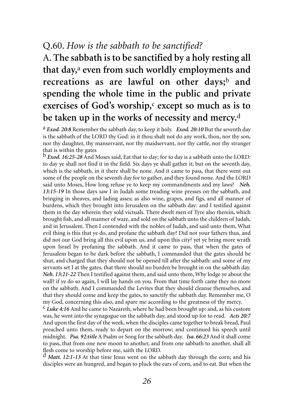#### Q.60. *How is the sabbath to be sanctified?*

A. **The sabbath is to be sanctified by a holy resting all that day,**<sup>a</sup> **even from such worldly employments and recreations as are lawful on other days;**<sup>b</sup> **and spending the whole time in the public and private exercises of God's worship,**<sup>c</sup> **except so much as is to be taken up in the works of necessity and mercy.**<sup>d</sup>

a *Exod. 20:8* Remember the sabbath day, to keep it holy. *Exod. 20:10* But the seventh day is the sabbath of the LORD thy God: in it thou shalt not do any work, thou, nor thy son, nor thy daughter, thy manservant, nor thy maidservant, nor thy cattle, nor thy stranger that is within thy gates

b *Exod. 16:25-28* And Moses said, Eat that to day; for to day is a sabbath unto the LORD: to day ye shall not find it in the field. Six days ye shall gather it; but on the seventh day, which is the sabbath, in it there shall be none. And it came to pass, that there went out some of the people on the seventh day for to gather, and they found none. And the LORD said unto Moses, How long refuse ye to keep my commandments and my laws? *Neh. 13:15-19* In those days saw I in Judah some treading wine presses on the sabbath, and bringing in sheaves, and lading asses; as also wine, grapes, and figs, and all manner of burdens, which they brought into Jerusalem on the sabbath day: and I testified against them in the day wherein they sold victuals. There dwelt men of Tyre also therein, which brought fish, and all manner of ware, and sold on the sabbath unto the children of Judah, and in Jerusalem. Then I contended with the nobles of Judah, and said unto them, What evil thing is this that ye do, and profane the sabbath day? Did not your fathers thus, and did not our God bring all this evil upon us, and upon this city? yet ye bring more wrath upon Israel by profaning the sabbath. And it came to pass, that when the gates of Jerusalem began to be dark before the sabbath, I commanded that the gates should be shut, and charged that they should not be opened till after the sabbath: and some of my servants set I at the gates, that there should no burden be brought in on the sabbath day. *Neh. 13:21-22* Then I testified against them, and said unto them, Why lodge ye about the wall? if ye do so again, I will lay hands on you. From that time forth came they no more on the sabbath. And I commanded the Levites that they should cleanse themselves, and that they should come and keep the gates, to sanctify the sabbath day. Remember me, O my God, concerning this also, and spare me according to the greatness of thy mercy.

c *Luke 4:16* And he came to Nazareth, where he had been brought up: and, as his custom was, he went into the synagogue on the sabbath day, and stood up for to read. *Acts 20:7* And upon the first day of the week, when the disciples came together to break bread, Paul preached unto them, ready to depart on the morrow; and continued his speech until midnight. *Psa. 92:title* A Psalm or Song for the sabbath day. *Isa. 66:23* And it shall come to pass, that from one new moon to another, and from one sabbath to another, shall all flesh come to worship before me, saith the LORD.

d *Matt. 12:1-13* At that time Jesus went on the sabbath day through the corn; and his disciples were an hungred, and began to pluck the ears of corn, and to eat. But when the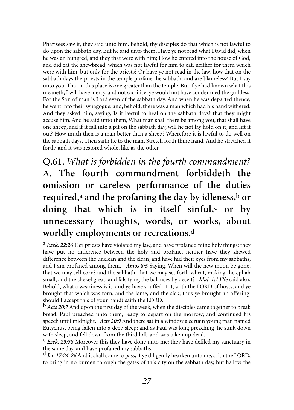Pharisees saw it, they said unto him, Behold, thy disciples do that which is not lawful to do upon the sabbath day. But he said unto them, Have ye not read what David did, when he was an hungred, and they that were with him; How he entered into the house of God, and did eat the shewbread, which was not lawful for him to eat, neither for them which were with him, but only for the priests? Or have ye not read in the law, how that on the sabbath days the priests in the temple profane the sabbath, and are blameless? But I say unto you, That in this place is one greater than the temple. But if ye had known what this meaneth, I will have mercy, and not sacrifice, ye would not have condemned the guiltless. For the Son of man is Lord even of the sabbath day. And when he was departed thence, he went into their synagogue: and, behold, there was a man which had his hand withered. And they asked him, saying, Is it lawful to heal on the sabbath days? that they might accuse him. And he said unto them, What man shall there be among you, that shall have one sheep, and if it fall into a pit on the sabbath day, will he not lay hold on it, and lift it out? How much then is a man better than a sheep? Wherefore it is lawful to do well on the sabbath days. Then saith he to the man, Stretch forth thine hand. And he stretched it forth; and it was restored whole, like as the other.

# Q.61. *What is forbidden in the fourth commandment?* A. **The fourth commandment forbiddeth the omission or careless performance of the duties required,**<sup>a</sup> **and the profaning the day by idleness,**<sup>b</sup> **or doing that which is in itself sinful,**<sup>c</sup> **or by unnecessary thoughts, words, or works, about worldly employments or recreations.**<sup>d</sup>

a *Ezek. 22:26* Her priests have violated my law, and have profaned mine holy things: they have put no difference between the holy and profane, neither have they shewed difference between the unclean and the clean, and have hid their eyes from my sabbaths, and I am profaned among them. *Amos 8:5* Saying, When will the new moon be gone, that we may sell corn? and the sabbath, that we may set forth wheat, making the ephah small, and the shekel great, and falsifying the balances by deceit? *Mal. 1:13* Ye said also, Behold, what a weariness is it! and ye have snuffed at it, saith the LORD of hosts; and ye brought that which was torn, and the lame, and the sick; thus ye brought an offering: should I accept this of your hand? saith the LORD.

b *Acts 20:7* And upon the first day of the week, when the disciples came together to break bread, Paul preached unto them, ready to depart on the morrow; and continued his speech until midnight. *Acts 20:9* And there sat in a window a certain young man named Eutychus, being fallen into a deep sleep: and as Paul was long preaching, he sunk down with sleep, and fell down from the third loft, and was taken up dead.

c *Ezek. 23:38* Moreover this they have done unto me: they have defiled my sanctuary in the same day, and have profaned my sabbaths.

d *Jer. 17:24-26* And it shall come to pass, if ye diligently hearken unto me, saith the LORD, to bring in no burden through the gates of this city on the sabbath day, but hallow the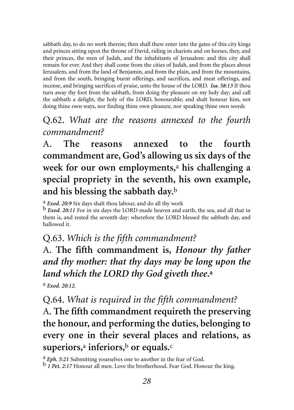sabbath day, to do no work therein; then shall there enter into the gates of this city kings and princes sitting upon the throne of David, riding in chariots and on horses, they, and their princes, the men of Judah, and the inhabitants of Jerusalem: and this city shall remain for ever. And they shall come from the cities of Judah, and from the places about Jerusalem, and from the land of Benjamin, and from the plain, and from the mountains, and from the south, bringing burnt offerings, and sacrifices, and meat offerings, and incense, and bringing sacrifices of praise, unto the house of the LORD. *Isa. 58:13* If thou turn away thy foot from the sabbath, from doing thy pleasure on my holy day; and call the sabbath a delight, the holy of the LORD, honourable; and shalt honour him, not doing thine own ways, nor finding thine own pleasure, nor speaking thine own words

#### Q.62. *What are the reasons annexed to the fourth commandment?*

A. **The reasons annexed to the fourth commandment are, God's allowing us six days of the week for our own employments,**<sup>a</sup> **his challenging a special propriety in the seventh, his own example, and his blessing the sabbath day.**<sup>b</sup>

<sup>a</sup> *Exod. 20:9* Six days shalt thou labour, and do all thy work b *Exod. 20:11* For in six days the LORD made heaven and earth, the sea, and all that in them is, and rested the seventh day: wherefore the LORD blessed the sabbath day, and hallowed it.

#### Q.63. *Which is the fifth commandment?*

A. **The fifth commandment is,** *Honour thy father and thy mother: that thy days may be long upon the land which the LORD thy God giveth thee***.a**

a *Exod. 20:12.*

#### Q.64. *What is required in the fifth commandment?*

A. **The fifth commandment requireth the preserving the honour, and performing the duties, belonging to every one in their several places and relations, as superiors,**<sup>a</sup> **inferiors,**<sup>b</sup> **or equals.**<sup>c</sup>

<sup>a</sup> *Eph. 5:21* Submitting yourselves one to another in the fear of God. <sup>b</sup> *1 Pet. 2:17* Honour all men. Love the brotherhood. Fear God. Honour the king.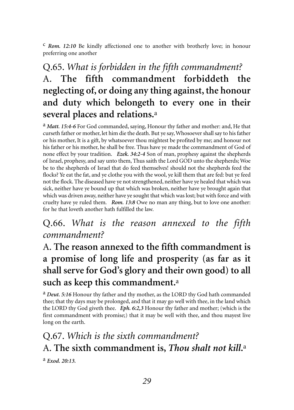c *Rom. 12:10* Be kindly affectioned one to another with brotherly love; in honour preferring one another

# Q.65. *What is forbidden in the fifth commandment?*  A. **The fifth commandment forbiddeth the neglecting of, or doing any thing against, the honour and duty which belongeth to every one in their several places and relations.**<sup>a</sup>

a *Matt. 15:4-6* For God commanded, saying, Honour thy father and mother: and, He that curseth father or mother, let him die the death. But ye say, Whosoever shall say to his father or his mother, It is a gift, by whatsoever thou mightest be profited by me; and honour not his father or his mother, he shall be free. Thus have ye made the commandment of God of none effect by your tradition. *Ezek. 34:2-4* Son of man, prophesy against the shepherds of Israel, prophesy, and say unto them, Thus saith the Lord GOD unto the shepherds; Woe be to the shepherds of Israel that do feed themselves! should not the shepherds feed the flocks? Ye eat the fat, and ye clothe you with the wool, ye kill them that are fed: but ye feed not the flock. The diseased have ye not strengthened, neither have ye healed that which was sick, neither have ye bound up that which was broken, neither have ye brought again that which was driven away, neither have ye sought that which was lost; but with force and with cruelty have ye ruled them. *Rom. 13:8* Owe no man any thing, but to love one another: for he that loveth another hath fulfilled the law.

#### Q.66. *What is the reason annexed to the fifth commandment?*

A. **The reason annexed to the fifth commandment is a promise of long life and prosperity (as far as it shall serve for God's glory and their own good) to all such as keep this commandment.**<sup>a</sup>

a *Deut. 5:16* Honour thy father and thy mother, as the LORD thy God hath commanded thee; that thy days may be prolonged, and that it may go well with thee, in the land which the LORD thy God giveth thee. *Eph. 6:2,3* Honour thy father and mother; (which is the first commandment with promise;) that it may be well with thee, and thou mayest live long on the earth.

# Q.67. *Which is the sixth commandment?*  A. **The sixth commandment is,** *Thou shalt not kill***.**<sup>a</sup>

a *Exod. 20:13.*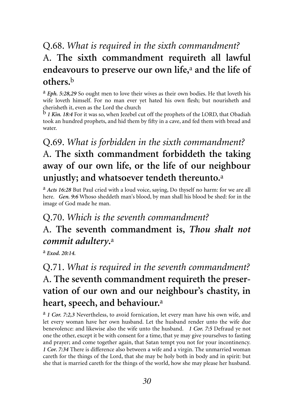## Q.68. *What is required in the sixth commandment?*  A. **The sixth commandment requireth all lawful endeavours to preserve our own life,**<sup>a</sup> **and the life of others.**<sup>b</sup>

a *Eph. 5:28,29* So ought men to love their wives as their own bodies. He that loveth his wife loveth himself. For no man ever yet hated his own flesh; but nourisheth and cherisheth it, even as the Lord the church

b *1 Kin. 18:4* For it was so, when Jezebel cut off the prophets of the LORD, that Obadiah took an hundred prophets, and hid them by fifty in a cave, and fed them with bread and water.

# Q.69. *What is forbidden in the sixth commandment?* A. **The sixth commandment forbiddeth the taking away of our own life, or the life of our neighbour unjustly; and whatsoever tendeth thereunto.**<sup>a</sup>

a *Acts 16:28* But Paul cried with a loud voice, saying, Do thyself no harm: for we are all here. *Gen. 9:6* Whoso sheddeth man's blood, by man shall his blood be shed: for in the image of God made he man.

### Q.70. *Which is the seventh commandment?*  A. **The seventh commandment is,** *Thou shalt not commit adultery***.**<sup>a</sup>

a *Exod. 20:14.*

# Q.71. *What is required in the seventh commandment?* A. **The seventh commandment requireth the preservation of our own and our neighbour's chastity, in heart, speech, and behaviour.**<sup>a</sup>

a *1 Cor. 7:2,3* Nevertheless, to avoid fornication, let every man have his own wife, and let every woman have her own husband. Let the husband render unto the wife due benevolence: and likewise also the wife unto the husband. *1 Cor. 7:5* Defraud ye not one the other, except it be with consent for a time, that ye may give yourselves to fasting and prayer; and come together again, that Satan tempt you not for your incontinency. *1 Cor. 7:34* There is difference also between a wife and a virgin. The unmarried woman careth for the things of the Lord, that she may be holy both in body and in spirit: but she that is married careth for the things of the world, how she may please her husband.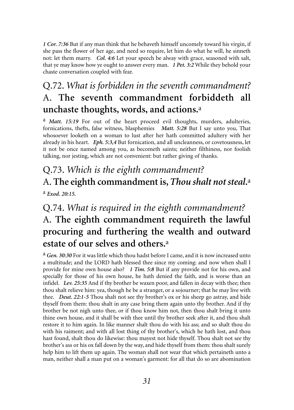*1 Cor. 7:36* But if any man think that he behaveth himself uncomely toward his virgin, if she pass the flower of her age, and need so require, let him do what he will, he sinneth not: let them marry. *Col. 4:6* Let your speech be alway with grace, seasoned with salt, that ye may know how ye ought to answer every man. *1 Pet. 3:2* While they behold your chaste conversation coupled with fear.

### Q.72. *What is forbidden in the seventh commandment?* A. **The seventh commandment forbiddeth all unchaste thoughts, words, and actions.**<sup>a</sup>

<sup>a</sup> *Matt.* 15:19 For out of the heart proceed evil thoughts, murders, adulteries, fornications, thefts, false witness, blasphemies *Matt. 5:28* But I say unto you, That whosoever looketh on a woman to lust after her hath committed adultery with her already in his heart. *Eph. 5:3,4* But fornication, and all uncleanness, or covetousness, let it not be once named among you, as becometh saints; neither filthiness, nor foolish talking, nor jesting, which are not convenient: but rather giving of thanks.

# Q.73. *Which is the eighth commandment?* A. **The eighth commandment is,***Thou shalt not steal***.**<sup>a</sup>

a *Exod. 20:15.*

# Q.74. *What is required in the eighth commandment?*  A. **The eighth commandment requireth the lawful procuring and furthering the wealth and outward estate of our selves and others.**<sup>a</sup>

a *Gen. 30:30* For it was little which thou hadst before I came, and it is now increased unto a multitude; and the LORD hath blessed thee since my coming: and now when shall I provide for mine own house also? *1 Tim. 5:8* But if any provide not for his own, and specially for those of his own house, he hath denied the faith, and is worse than an infidel. *Lev. 25:35* And if thy brother be waxen poor, and fallen in decay with thee; then thou shalt relieve him: yea, though he be a stranger, or a sojourner; that he may live with thee. *Deut. 22:1-5* Thou shalt not see thy brother's ox or his sheep go astray, and hide thyself from them: thou shalt in any case bring them again unto thy brother. And if thy brother be not nigh unto thee, or if thou know him not, then thou shalt bring it unto thine own house, and it shall be with thee until thy brother seek after it, and thou shalt restore it to him again. In like manner shalt thou do with his ass; and so shalt thou do with his raiment; and with all lost thing of thy brother's, which he hath lost, and thou hast found, shalt thou do likewise: thou mayest not hide thyself. Thou shalt not see thy brother's ass or his ox fall down by the way, and hide thyself from them: thou shalt surely help him to lift them up again. The woman shall not wear that which pertaineth unto a man, neither shall a man put on a woman's garment: for all that do so are abomination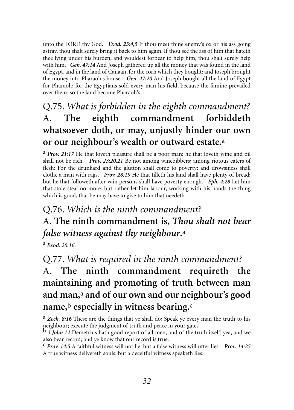unto the LORD thy God. *Exod. 23:4,5* If thou meet thine enemy's ox or his ass going astray, thou shalt surely bring it back to him again. If thou see the ass of him that hateth thee lying under his burden, and wouldest forbear to help him, thou shalt surely help with him. *Gen. 47:14* And Joseph gathered up all the money that was found in the land of Egypt, and in the land of Canaan, for the corn which they bought: and Joseph brought the money into Pharaoh's house. *Gen. 47:20* And Joseph bought all the land of Egypt for Pharaoh; for the Egyptians sold every man his field, because the famine prevailed over them: so the land became Pharaoh's.

# Q.75. *What is forbidden in the eighth commandment?*  A. **The eighth commandment forbiddeth whatsoever doth, or may, unjustly hinder our own or our neighbour's wealth or outward estate.**<sup>a</sup>

a *Prov. 21:17* He that loveth pleasure shall be a poor man: he that loveth wine and oil shall not be rich. *Prov. 23:20,21* Be not among winebibbers; among riotous eaters of flesh: For the drunkard and the glutton shall come to poverty: and drowsiness shall clothe a man with rags. *Prov. 28:19* He that tilleth his land shall have plenty of bread: but he that followeth after vain persons shall have poverty enough. *Eph. 4:28* Let him that stole steal no more: but rather let him labour, working with his hands the thing which is good, that he may have to give to him that needeth.

# Q.76. *Which is the ninth commandment?* A. **The ninth commandment is,** *Thou shalt not bear false witness against thy neighbour***.**<sup>a</sup>

a *Exod. 20:16.*

Q.77. *What is required in the ninth commandment?*

A. **The ninth commandment requireth the maintaining and promoting of truth between man and man,**<sup>a</sup> **and of our own and our neighbour's good name,**<sup>b</sup> **especially in witness bearing.**<sup>c</sup>

a *Zech. 8:16* These are the things that ye shall do; Speak ye every man the truth to his neighbour; execute the judgment of truth and peace in your gates

b *3 John 12* Demetrius hath good report of all men, and of the truth itself: yea, and we also bear record; and ye know that our record is true.

c *Prov. 14:5* A faithful witness will not lie: but a false witness will utter lies. *Prov. 14:25* A true witness delivereth souls: but a deceitful witness speaketh lies.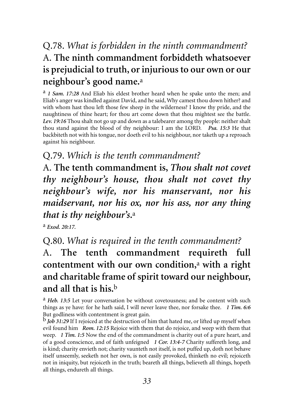# Q.78. *What is forbidden in the ninth commandment?*  A. **The ninth commandment forbiddeth whatsoever is prejudicial to truth, or injurious to our own or our neighbour's good name.**<sup>a</sup>

a *1 Sam. 17:28* And Eliab his eldest brother heard when he spake unto the men; and Eliab's anger was kindled against David, and he said, Why camest thou down hither? and with whom hast thou left those few sheep in the wilderness? I know thy pride, and the naughtiness of thine heart; for thou art come down that thou mightest see the battle. *Lev. 19:16* Thou shalt not go up and down as a talebearer among thy people: neither shalt thou stand against the blood of thy neighbour: I am the LORD. *Psa. 15:3* He that backbiteth not with his tongue, nor doeth evil to his neighbour, nor taketh up a reproach against his neighbour.

#### Q.79. *Which is the tenth commandment?*

A. **The tenth commandment is,** *Thou shalt not covet thy neighbour's house, thou shalt not covet thy neighbour's wife, nor his manservant, nor his maidservant, nor his ox, nor his ass, nor any thing that is thy neighbour's***.**<sup>a</sup>

a *Exod. 20:17.*

Q.80. *What is required in the tenth commandment?* 

A. **The tenth commandment requireth full contentment with our own condition,**<sup>a</sup> **with a right and charitable frame of spirit toward our neighbour, and all that is his.**<sup>b</sup>

a *Heb. 13:5* Let your conversation be without covetousness; and be content with such things as ye have: for he hath said, I will never leave thee, nor forsake thee. *1 Tim. 6:6* But godliness with contentment is great gain.

b *Job 31:29* If I rejoiced at the destruction of him that hated me, or lifted up myself when evil found him *Rom. 12:15* Rejoice with them that do rejoice, and weep with them that weep. *1 Tim. 1:5* Now the end of the commandment is charity out of a pure heart, and of a good conscience, and of faith unfeigned *1 Cor. 13:4-7* Charity suffereth long, and is kind; charity envieth not; charity vaunteth not itself, is not puffed up, doth not behave itself unseemly, seeketh not her own, is not easily provoked, thinketh no evil; rejoiceth not in iniquity, but rejoiceth in the truth; beareth all things, believeth all things, hopeth all things, endureth all things.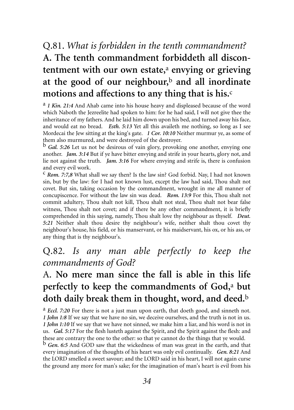# Q.81. *What is forbidden in the tenth commandment?*  **A. The tenth commandment forbiddeth all discontentment with our own estate,**<sup>a</sup> **envying or grieving at the good of our neighbour,**<sup>b</sup> **and all inordinate motions and affections to any thing that is his.**<sup>c</sup>

a *1 Kin. 21:4* And Ahab came into his house heavy and displeased because of the word which Naboth the Jezreelite had spoken to him: for he had said, I will not give thee the inheritance of my fathers. And he laid him down upon his bed, and turned away his face, and would eat no bread. *Esth. 5:13* Yet all this availeth me nothing, so long as I see Mordecai the Jew sitting at the king's gate. *1 Cor. 10:10* Neither murmur ye, as some of them also murmured, and were destroyed of the destroyer.

b *Gal. 5:26* Let us not be desirous of vain glory, provoking one another, envying one another. *Jam. 3:14* But if ye have bitter envying and strife in your hearts, glory not, and lie not against the truth. *Jam. 3:16* For where envying and strife is, there is confusion and every evil work.

c *Rom. 7:7,8* What shall we say then? Is the law sin? God forbid. Nay, I had not known sin, but by the law: for I had not known lust, except the law had said, Thou shalt not covet. But sin, taking occasion by the commandment, wrought in me all manner of concupiscence. For without the law sin was dead. *Rom. 13:9* For this, Thou shalt not commit adultery, Thou shalt not kill, Thou shalt not steal, Thou shalt not bear false witness, Thou shalt not covet; and if there be any other commandment, it is briefly comprehended in this saying, namely, Thou shalt love thy neighbour as thyself. *Deut. 5:21* Neither shalt thou desire thy neighbour's wife, neither shalt thou covet thy neighbour's house, his field, or his manservant, or his maidservant, his ox, or his ass, or any thing that is thy neighbour's.

#### Q.82*. Is any man able perfectly to keep the commandments of God?*

# A. **No mere man since the fall is able in this life perfectly to keep the commandments of God,**<sup>a</sup> **but doth daily break them in thought, word, and deed.**<sup>b</sup>

a *Eccl. 7:20* For there is not a just man upon earth, that doeth good, and sinneth not. *1 John 1:8* If we say that we have no sin, we deceive ourselves, and the truth is not in us. *1 John 1:10* If we say that we have not sinned, we make him a liar, and his word is not in us. *Gal. 5:17* For the flesh lusteth against the Spirit, and the Spirit against the flesh: and these are contrary the one to the other: so that ye cannot do the things that ye would.

b *Gen. 6:5* And GOD saw that the wickedness of man was great in the earth, and that every imagination of the thoughts of his heart was only evil continually. *Gen. 8:21* And the LORD smelled a sweet savour; and the LORD said in his heart, I will not again curse the ground any more for man's sake; for the imagination of man's heart is evil from his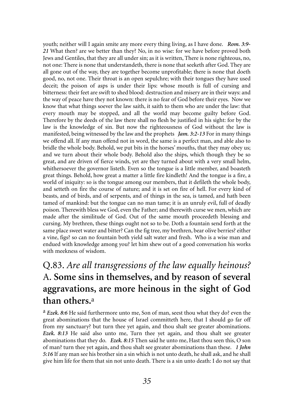youth; neither will I again smite any more every thing living, as I have done. *Rom. 3:9- 21* What then? are we better than they? No, in no wise: for we have before proved both Jews and Gentiles, that they are all under sin; as it is written, There is none righteous, no, not one: There is none that understandeth, there is none that seeketh after God. They are all gone out of the way, they are together become unprofitable; there is none that doeth good, no, not one. Their throat is an open sepulchre; with their tongues they have used deceit; the poison of asps is under their lips: whose mouth is full of cursing and bitterness: their feet are swift to shed blood: destruction and misery are in their ways: and the way of peace have they not known: there is no fear of God before their eyes. Now we know that what things soever the law saith, it saith to them who are under the law: that every mouth may be stopped, and all the world may become guilty before God. Therefore by the deeds of the law there shall no flesh be justified in his sight: for by the law is the knowledge of sin. But now the righteousness of God without the law is manifested, being witnessed by the law and the prophets *Jam. 3:2-13* For in many things we offend all. If any man offend not in word, the same is a perfect man, and able also to bridle the whole body. Behold, we put bits in the horses' mouths, that they may obey us; and we turn about their whole body. Behold also the ships, which though they be so great, and are driven of fierce winds, yet are they turned about with a very small helm, whithersoever the governor listeth. Even so the tongue is a little member, and boasteth great things. Behold, how great a matter a little fire kindleth! And the tongue is a fire, a world of iniquity: so is the tongue among our members, that it defileth the whole body, and setteth on fire the course of nature; and it is set on fire of hell. For every kind of beasts, and of birds, and of serpents, and of things in the sea, is tamed, and hath been tamed of mankind: but the tongue can no man tame; it is an unruly evil, full of deadly poison. Therewith bless we God, even the Father; and therewith curse we men, which are made after the similitude of God. Out of the same mouth proceedeth blessing and cursing. My brethren, these things ought not so to be. Doth a fountain send forth at the same place sweet water and bitter? Can the fig tree, my brethren, bear olive berries? either a vine, figs? so can no fountain both yield salt water and fresh. Who is a wise man and endued with knowledge among you? let him shew out of a good conversation his works with meekness of wisdom.

### Q.83. *Are all transgressions of the law equally heinous?*  A. **Some sins in themselves, and by reason of several aggravations, are more heinous in the sight of God than others.**<sup>a</sup>

a *Ezek. 8:6* He said furthermore unto me, Son of man, seest thou what they do? even the great abominations that the house of Israel committeth here, that I should go far off from my sanctuary? but turn thee yet again, and thou shalt see greater abominations. *Ezek. 8:13* He said also unto me, Turn thee yet again, and thou shalt see greater abominations that they do. *Ezek. 8:15* Then said he unto me, Hast thou seen this, O son of man? turn thee yet again, and thou shalt see greater abominations than these. *1 John 5:16* If any man see his brother sin a sin which is not unto death, he shall ask, and he shall give him life for them that sin not unto death. There is a sin unto death: I do not say that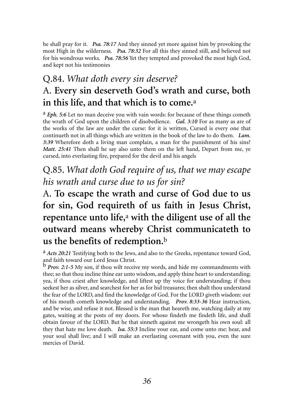he shall pray for it. *Psa. 78:17* And they sinned yet more against him by provoking the most High in the wilderness. *Psa. 78:32* For all this they sinned still, and believed not for his wondrous works. *Psa. 78:56* Yet they tempted and provoked the most high God, and kept not his testimonies

### Q.84. *What doth every sin deserve?*  A. **Every sin deserveth God's wrath and curse, both in this life, and that which is to come.**<sup>a</sup>

a *Eph. 5:6* Let no man deceive you with vain words: for because of these things cometh the wrath of God upon the children of disobedience. *Gal. 3:10* For as many as are of the works of the law are under the curse: for it is written, Cursed is every one that continueth not in all things which are written in the book of the law to do them. *Lam. 3:39* Wherefore doth a living man complain, a man for the punishment of his sins? *Matt. 25:41* Then shall he say also unto them on the left hand, Depart from me, ye cursed, into everlasting fire, prepared for the devil and his angels

Q.85. *What doth God require of us, that we may escape his wrath and curse due to us for sin?* 

# A. **To escape the wrath and curse of God due to us for sin, God requireth of us faith in Jesus Christ, repentance unto life,**<sup>a</sup> **with the diligent use of all the outward means whereby Christ communicateth to us the benefits of redemption.**<sup>b</sup>

a *Acts 20:21* Testifying both to the Jews, and also to the Greeks, repentance toward God,

and faith toward our Lord Jesus Christ. b *Prov. 2:1-5* My son, if thou wilt receive my words, and hide my commandments with thee; so that thou incline thine ear unto wisdom, and apply thine heart to understanding; yea, if thou criest after knowledge, and liftest up thy voice for understanding; if thou seekest her as silver, and searchest for her as for hid treasures; then shalt thou understand the fear of the LORD, and find the knowledge of God. For the LORD giveth wisdom: out of his mouth cometh knowledge and understanding. *Prov. 8:33-36* Hear instruction, and be wise, and refuse it not. Blessed is the man that heareth me, watching daily at my gates, waiting at the posts of my doors. For whoso findeth me findeth life, and shall obtain favour of the LORD. But he that sinneth against me wrongeth his own soul: all they that hate me love death. *Isa. 55:3* Incline your ear, and come unto me: hear, and your soul shall live; and I will make an everlasting covenant with you, even the sure mercies of David.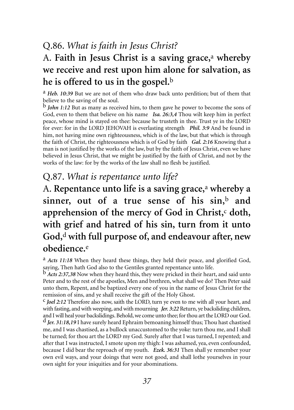### Q.86. *What is faith in Jesus Christ?*

### A. **Faith in Jesus Christ is a saving grace,**<sup>a</sup> **whereby we receive and rest upon him alone for salvation, as he is offered to us in the gospel.**<sup>b</sup>

a *Heb. 10:39* But we are not of them who draw back unto perdition; but of them that believe to the saving of the soul.

*John 1:12* But as many as received him, to them gave he power to become the sons of God, even to them that believe on his name *Isa. 26:3,4* Thou wilt keep him in perfect peace, whose mind is stayed on thee: because he trusteth in thee. Trust ye in the LORD for ever: for in the LORD JEHOVAH is everlasting strength *Phil. 3:9* And be found in him, not having mine own righteousness, which is of the law, but that which is through the faith of Christ, the righteousness which is of God by faith *Gal. 2:16* Knowing that a man is not justified by the works of the law, but by the faith of Jesus Christ, even we have believed in Jesus Christ, that we might be justified by the faith of Christ, and not by the works of the law: for by the works of the law shall no flesh be justified.

#### Q.87. *What is repentance unto life?*

A. **Repentance unto life is a saving grace,**<sup>a</sup> **whereby a sinner, out of a true sense of his sin,**<sup>b</sup> **and** apprehension of the mercy of God in Christ,<sup>c</sup> doth, **with grief and hatred of his sin, turn from it unto God,**<sup>d</sup> **with full purpose of, and endeavour after, new obedience.**<sup>e</sup>

a *Acts 11:18* When they heard these things, they held their peace, and glorified God, saying, Then hath God also to the Gentiles granted repentance unto life.

b *Acts 2:37,38* Now when they heard this, they were pricked in their heart, and said unto Peter and to the rest of the apostles, Men and brethren, what shall we do? Then Peter said unto them, Repent, and be baptized every one of you in the name of Jesus Christ for the remission of sins, and ye shall receive the gift of the Holy Ghost.

c *Joel 2:12* Therefore also now, saith the LORD, turn ye even to me with all your heart, and with fasting, and with weeping, and with mourning *Jer. 3:22* Return, ye backsliding children, and I will heal your backslidings. Behold, we come unto thee; for thou art the LORD our God. d *Jer. 31:18,19* I have surely heard Ephraim bemoaning himself thus; Thou hast chastised me, and I was chastised, as a bullock unaccustomed to the yoke: turn thou me, and I shall be turned; for thou art the LORD my God. Surely after that I was turned, I repented; and after that I was instructed, I smote upon my thigh: I was ashamed, yea, even confounded, because I did bear the reproach of my youth. *Ezek. 36:31* Then shall ye remember your own evil ways, and your doings that were not good, and shall lothe yourselves in your own sight for your iniquities and for your abominations.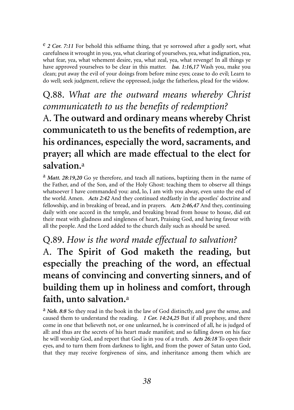e *2 Cor. 7:11* For behold this selfsame thing, that ye sorrowed after a godly sort, what carefulness it wrought in you, yea, what clearing of yourselves, yea, what indignation, yea, what fear, yea, what vehement desire, yea, what zeal, yea, what revenge! In all things ye have approved yourselves to be clear in this matter. *Isa. 1:16,17* Wash you, make you clean; put away the evil of your doings from before mine eyes; cease to do evil; Learn to do well; seek judgment, relieve the oppressed, judge the fatherless, plead for the widow.

#### Q.88. *What are the outward means whereby Christ communicateth to us the benefits of redemption?*  A. **The outward and ordinary means whereby Christ communicateth to us the benefits of redemption, are his ordinances, especially the word, sacraments, and prayer; all which are made effectual to the elect for salvation.**<sup>a</sup>

a *Matt. 28:19,20* Go ye therefore, and teach all nations, baptizing them in the name of the Father, and of the Son, and of the Holy Ghost: teaching them to observe all things whatsoever I have commanded you: and, lo, I am with you alway, even unto the end of the world. Amen. *Acts 2:42* And they continued stedfastly in the apostles' doctrine and fellowship, and in breaking of bread, and in prayers. *Acts 2:46,47* And they, continuing daily with one accord in the temple, and breaking bread from house to house, did eat their meat with gladness and singleness of heart, Praising God, and having favour with all the people. And the Lord added to the church daily such as should be saved.

#### Q.89. *How is the word made effectual to salvation?*

A. **The Spirit of God maketh the reading, but especially the preaching of the word, an effectual means of convincing and converting sinners, and of building them up in holiness and comfort, through faith, unto salvation.**<sup>a</sup>

a *Neh. 8:8* So they read in the book in the law of God distinctly, and gave the sense, and caused them to understand the reading. *1 Cor. 14:24,25* But if all prophesy, and there come in one that believeth not, or one unlearned, he is convinced of all, he is judged of all: and thus are the secrets of his heart made manifest; and so falling down on his face he will worship God, and report that God is in you of a truth. *Acts 26:18* To open their eyes, and to turn them from darkness to light, and from the power of Satan unto God, that they may receive forgiveness of sins, and inheritance among them which are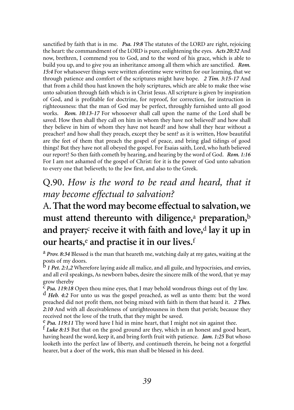sanctified by faith that is in me. *Psa. 19:8* The statutes of the LORD are right, rejoicing the heart: the commandment of the LORD is pure, enlightening the eyes. *Acts 20:32* And now, brethren, I commend you to God, and to the word of his grace, which is able to build you up, and to give you an inheritance among all them which are sanctified. *Rom. 15:4* For whatsoever things were written aforetime were written for our learning, that we through patience and comfort of the scriptures might have hope. *2 Tim. 3:15-17* And that from a child thou hast known the holy scriptures, which are able to make thee wise unto salvation through faith which is in Christ Jesus. All scripture is given by inspiration of God, and is profitable for doctrine, for reproof, for correction, for instruction in righteousness: that the man of God may be perfect, throughly furnished unto all good works. *Rom. 10:13-17* For whosoever shall call upon the name of the Lord shall be saved. How then shall they call on him in whom they have not believed? and how shall they believe in him of whom they have not heard? and how shall they hear without a preacher? and how shall they preach, except they be sent? as it is written, How beautiful are the feet of them that preach the gospel of peace, and bring glad tidings of good things! But they have not all obeyed the gospel. For Esaias saith, Lord, who hath believed our report? So then faith cometh by hearing, and hearing by the word of God. *Rom. 1:16* For I am not ashamed of the gospel of Christ: for it is the power of God unto salvation to every one that believeth; to the Jew first, and also to the Greek.

#### Q.90. *How is the word to be read and heard, that it may become effectual to salvation?*

# A.**That the word may become effectual to salvation, we must attend thereunto with diligence,**<sup>a</sup> **preparation,**<sup>b</sup> **and prayer;**<sup>c</sup> **receive it with faith and love,**<sup>d</sup> **lay it up in our hearts,**<sup>e</sup> **and practise it in our lives.**<sup>f</sup>

a *Prov. 8:34* Blessed is the man that heareth me, watching daily at my gates, waiting at the posts of my doors.

b *1 Pet. 2:1,2* Wherefore laying aside all malice, and all guile, and hypocrisies, and envies, and all evil speakings, As newborn babes, desire the sincere milk of the word, that ye may

grow thereby<br><sup>c</sup> *Psa. 119:18* Open thou mine eyes, that I may behold wondrous things out of thy law.<br><sup>d</sup> *Heb. 4:2* For unto us was the gospel preached, as well as unto them: but the word preached did not profit them, not being mixed with faith in them that heard it. *2 Thes. 2:10* And with all deceivableness of unrighteousness in them that perish; because they received not the love of the truth, that they might be saved.<br><sup>e</sup> *Psa*, 119:11 Thy word have I hid in mine heart, that I might not sin against thee.

<sup>f</sup> Luke 8:15 But that on the good ground are they, which in an honest and good heart, having heard the word, keep it, and bring forth fruit with patience. *Jam. 1:25* But whoso looketh into the perfect law of liberty, and continueth therein, he being not a forgetful hearer, but a doer of the work, this man shall be blessed in his deed.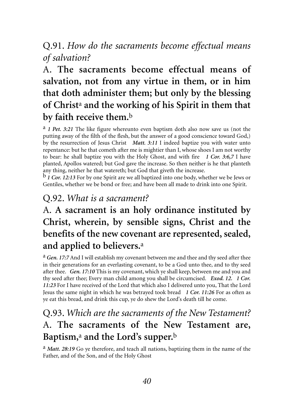#### Q.91. *How do the sacraments become effectual means of salvation?*

# A. **The sacraments become effectual means of salvation, not from any virtue in them, or in him that doth administer them; but only by the blessing of Christ**<sup>a</sup> **and the working of his Spirit in them that by faith receive them.**<sup>b</sup>

a *1 Pet. 3:21* The like figure whereunto even baptism doth also now save us (not the putting away of the filth of the flesh, but the answer of a good conscience toward God,) by the resurrection of Jesus Christ *Matt. 3:11* I indeed baptize you with water unto repentance: but he that cometh after me is mightier than I, whose shoes I am not worthy to bear: he shall baptize you with the Holy Ghost, and with fire *1 Cor. 3:6,7* I have planted, Apollos watered; but God gave the increase. So then neither is he that planteth any thing, neither he that watereth; but God that giveth the increase.

b *1 Cor. 12:13* For by one Spirit are we all baptized into one body, whether we be Jews or Gentiles, whether we be bond or free; and have been all made to drink into one Spirit.

#### Q.92. *What is a sacrament?*

# A. **A sacrament is an holy ordinance instituted by Christ, wherein, by sensible signs, Christ and the benefits of the new covenant are represented, sealed, and applied to believers.**<sup>a</sup>

a *Gen. 17:7* And I will establish my covenant between me and thee and thy seed after thee in their generations for an everlasting covenant, to be a God unto thee, and to thy seed after thee. *Gen. 17:10* This is my covenant, which ye shall keep, between me and you and thy seed after thee; Every man child among you shall be circumcised. *Exod. 12. 1 Cor. 11:23* For I have received of the Lord that which also I delivered unto you, That the Lord Jesus the same night in which he was betrayed took bread *1 Cor. 11:26* For as often as ye eat this bread, and drink this cup, ye do shew the Lord's death till he come.

### Q.93. *Which are the sacraments of the New Testament?*  A. **The sacraments of the New Testament are, Baptism,**<sup>a</sup> **and the Lord's supper.**<sup>b</sup>

a *Matt. 28:19* Go ye therefore, and teach all nations, baptizing them in the name of the Father, and of the Son, and of the Holy Ghost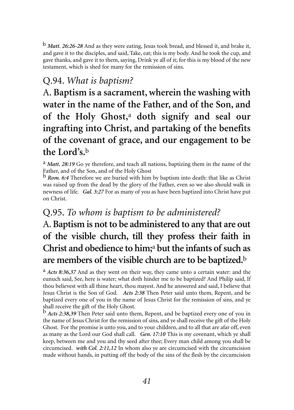b *Matt. 26:26-28* And as they were eating, Jesus took bread, and blessed it, and brake it, and gave it to the disciples, and said, Take, eat; this is my body. And he took the cup, and gave thanks, and gave it to them, saying, Drink ye all of it; for this is my blood of the new testament, which is shed for many for the remission of sins.

#### Q.94. *What is baptism?*

A. **Baptism is a sacrament, wherein the washing with water in the name of the Father, and of the Son, and of the Holy Ghost,**<sup>a</sup> **doth signify and seal our ingrafting into Christ, and partaking of the benefits of the covenant of grace, and our engagement to be the Lord's.**<sup>b</sup>

a *Matt. 28:19* Go ye therefore, and teach all nations, baptizing them in the name of the Father, and of the Son, and of the Holy Ghost

b *Rom. 6:4* Therefore we are buried with him by baptism into death: that like as Christ was raised up from the dead by the glory of the Father, even so we also should walk in newness of life. *Gal. 3:27* For as many of you as have been baptized into Christ have put on Christ.

#### Q.95. *To whom is baptism to be administered?*

# A.**Baptism is not to be administered to any that are out of the visible church, till they profess their faith in Christ and obedience to him;**<sup>a</sup> **but the infants of such as are members of the visible church are to be baptized.**<sup>b</sup>

a *Acts 8:36,37* And as they went on their way, they came unto a certain water: and the eunuch said, See, here is water; what doth hinder me to be baptized? And Philip said, If thou believest with all thine heart, thou mayest. And he answered and said, I believe that Jesus Christ is the Son of God. *Acts 2:38* Then Peter said unto them, Repent, and be baptized every one of you in the name of Jesus Christ for the remission of sins, and ye shall receive the gift of the Holy Ghost.

b *Acts 2:38,39* Then Peter said unto them, Repent, and be baptized every one of you in the name of Jesus Christ for the remission of sins, and ye shall receive the gift of the Holy Ghost. For the promise is unto you, and to your children, and to all that are afar off, even as many as the Lord our God shall call. *Gen. 17:10* This is my covenant, which ye shall keep, between me and you and thy seed after thee; Every man child among you shall be circumcised. *with Col. 2:11,12* In whom also ye are circumcised with the circumcision made without hands, in putting off the body of the sins of the flesh by the circumcision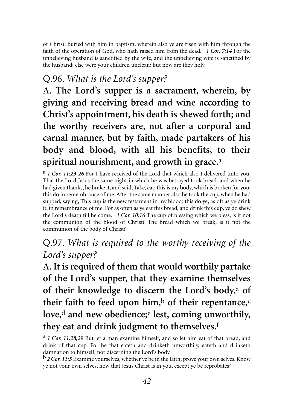of Christ: buried with him in baptism, wherein also ye are risen with him through the faith of the operation of God, who hath raised him from the dead. *1 Cor. 7:14* For the unbelieving husband is sanctified by the wife, and the unbelieving wife is sanctified by the husband: else were your children unclean; but now are they holy.

#### Q.96. *What is the Lord's supper?*

A. **The Lord's supper is a sacrament, wherein, by giving and receiving bread and wine according to Christ's appointment, his death is shewed forth; and the worthy receivers are, not after a corporal and carnal manner, but by faith, made partakers of his body and blood, with all his benefits, to their spiritual nourishment, and growth in grace.**<sup>a</sup>

a *1 Cor. 11:23-26* For I have received of the Lord that which also I delivered unto you, That the Lord Jesus the same night in which he was betrayed took bread: and when he had given thanks, he brake it, and said, Take, eat: this is my body, which is broken for you: this do in remembrance of me. After the same manner also he took the cup, when he had supped, saying, This cup is the new testament in my blood: this do ye, as oft as ye drink it, in remembrance of me. For as often as ye eat this bread, and drink this cup, ye do shew the Lord's death till he come. *1 Cor. 10:16* The cup of blessing which we bless, is it not the communion of the blood of Christ? The bread which we break, is it not the communion of the body of Christ?

#### Q.97. *What is required to the worthy receiving of the Lord's supper?*

A. **It is required of them that would worthily partake of the Lord's supper, that they examine themselves of their knowledge to discern the Lord's body,**<sup>a</sup> **of their faith to feed upon him,**<sup>b</sup> **of their repentance,**<sup>c</sup> **love,**<sup>d</sup> **and new obedience;**<sup>e</sup> **lest, coming unworthily, they eat and drink judgment to themselves.**<sup>f</sup>

a *1 Cor. 11:28,29* But let a man examine himself, and so let him eat of that bread, and drink of that cup. For he that eateth and drinketh unworthily, eateth and drinketh damnation to himself, not discerning the Lord's body.

b *2 Cor. 13:5* Examine yourselves, whether ye be in the faith; prove your own selves. Know ye not your own selves, how that Jesus Christ is in you, except ye be reprobates?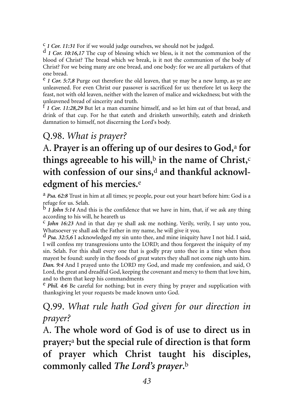<sup>c</sup> *1 Cor. 11:31* For if we would judge ourselves, we should not be judged.<br>d *1 Cor. 10:16,17* The cup of blessing which we bless, is it not the communion of the

blood of Christ? The bread which we break, is it not the communion of the body of Christ? For we being many are one bread, and one body: for we are all partakers of that one bread.

e *1 Cor. 5:7,8* Purge out therefore the old leaven, that ye may be a new lump, as ye are unleavened. For even Christ our passover is sacrificed for us: therefore let us keep the feast, not with old leaven, neither with the leaven of malice and wickedness; but with the unleavened bread of sincerity and truth.

f *1 Cor. 11:28,29* But let a man examine himself, and so let him eat of that bread, and drink of that cup. For he that eateth and drinketh unworthily, eateth and drinketh damnation to himself, not discerning the Lord's body.

#### Q.98. *What is prayer?*

# A. **Prayer is an offering up of our desires to God,**<sup>a</sup> **for things agreeable to his will,**<sup>b</sup> **in the name of Christ,**<sup>c</sup> **with confession of our sins,**<sup>d</sup> **and thankful acknowledgment of his mercies.**<sup>e</sup>

a *Psa. 62:8* Trust in him at all times; ye people, pour out your heart before him: God is a refuge for us. Selah.

b *1 John 5:14* And this is the confidence that we have in him, that, if we ask any thing according to his will, he heareth us

c *John 16:23* And in that day ye shall ask me nothing. Verily, verily, I say unto you, Whatsoever ye shall ask the Father in my name, he will give it you.

d *Psa. 32:5,6* I acknowledged my sin unto thee, and mine iniquity have I not hid. I said, I will confess my transgressions unto the LORD; and thou forgavest the iniquity of my sin. Selah. For this shall every one that is godly pray unto thee in a time when thou mayest be found: surely in the floods of great waters they shall not come nigh unto him. *Dan. 9:4* And I prayed unto the LORD my God, and made my confession, and said, O Lord, the great and dreadful God, keeping the covenant and mercy to them that love him, and to them that keep his commandments

e *Phil. 4:6* Be careful for nothing; but in every thing by prayer and supplication with thanksgiving let your requests be made known unto God.

#### Q.99. *What rule hath God given for our direction in prayer?*

A. **The whole word of God is of use to direct us in prayer;**<sup>a</sup> **but the special rule of direction is that form of prayer which Christ taught his disciples, commonly called** *The Lord's prayer***.**<sup>b</sup>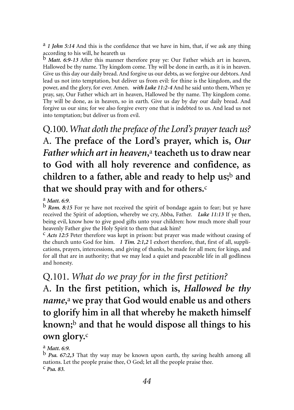a *1 John 5:14* And this is the confidence that we have in him, that, if we ask any thing according to his will, he heareth us

b *Matt. 6:9-13* After this manner therefore pray ye: Our Father which art in heaven, Hallowed be thy name. Thy kingdom come. Thy will be done in earth, as it is in heaven. Give us this day our daily bread. And forgive us our debts, as we forgive our debtors. And lead us not into temptation, but deliver us from evil: for thine is the kingdom, and the power, and the glory, for ever. Amen. *with Luke 11:2-4* And he said unto them, When ye pray, say, Our Father which art in heaven, Hallowed be thy name. Thy kingdom come. Thy will be done, as in heaven, so in earth. Give us day by day our daily bread. And forgive us our sins; for we also forgive every one that is indebted to us. And lead us not into temptation; but deliver us from evil.

Q.100.*What doth the preface of the Lord's prayer teach us?*  A. **The preface of the Lord's prayer, which is,** *Our Father which art in heaven***,**<sup>a</sup> **teacheth us to draw near to God with all holy reverence and confidence, as children to a father, able and ready to help us;**<sup>b</sup> **and that we should pray with and for others.**<sup>c</sup>

<sup>a</sup> *Matt. 6:9.* **b** *Rom. 8:15* For ye have not received the spirit of bondage again to fear; but ye have received the Spirit of adoption, whereby we cry, Abba, Father. *Luke 11:13* If ye then, being evil, know how to give good gifts unto your children: how much more shall your heavenly Father give the Holy Spirit to them that ask him?

c *Acts 12:5* Peter therefore was kept in prison: but prayer was made without ceasing of the church unto God for him. *1 Tim. 2:1,2* I exhort therefore, that, first of all, supplications, prayers, intercessions, and giving of thanks, be made for all men; for kings, and for all that are in authority; that we may lead a quiet and peaceable life in all godliness and honesty.

Q.101. *What do we pray for in the first petition?*  A. **In the first petition, which is,** *Hallowed be thy name***,**<sup>a</sup> **we pray that God would enable us and others to glorify him in all that whereby he maketh himself known;**<sup>b</sup> **and that he would dispose all things to his own glory.**<sup>c</sup>

a *Matt. 6:9.*

b *Psa. 67:2,3* That thy way may be known upon earth, thy saving health among all nations. Let the people praise thee, O God; let all the people praise thee. c *Psa. 83.*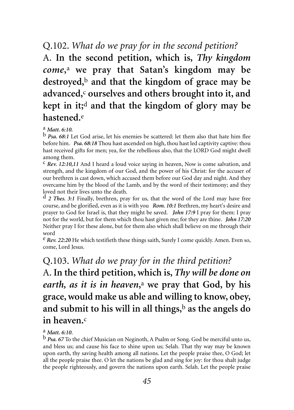#### Q.102. *What do we pray for in the second petition?*

A. **In the second petition, which is,** *Thy kingdom come***,**<sup>a</sup> **we pray that Satan's kingdom may be destroyed,**<sup>b</sup> **and that the kingdom of grace may be advanced,**<sup>c</sup> **ourselves and others brought into it, and kept in it;**<sup>d</sup> **and that the kingdom of glory may be hastened.**<sup>e</sup>

#### a *Matt. 6:10.*

b *Psa. 68:1* Let God arise, let his enemies be scattered: let them also that hate him flee before him. *Psa. 68:18* Thou hast ascended on high, thou hast led captivity captive: thou hast received gifts for men; yea, for the rebellious also, that the LORD God might dwell among them.

c *Rev. 12:10,11* And I heard a loud voice saying in heaven, Now is come salvation, and strength, and the kingdom of our God, and the power of his Christ: for the accuser of our brethren is cast down, which accused them before our God day and night. And they overcame him by the blood of the Lamb, and by the word of their testimony; and they loved not their lives unto the death.

d *2 Thes. 3:1* Finally, brethren, pray for us, that the word of the Lord may have free course, and be glorified, even as it is with you *Rom. 10:1* Brethren, my heart's desire and prayer to God for Israel is, that they might be saved. *John 17:9* I pray for them: I pray not for the world, but for them which thou hast given me; for they are thine. *John 17:20* Neither pray I for these alone, but for them also which shall believe on me through their word

e *Rev. 22:20* He which testifieth these things saith, Surely I come quickly. Amen. Even so, come, Lord Jesus.

# Q.103. *What do we pray for in the third petition?*  A. **In the third petition, which is,** *Thy will be done on earth, as it is in heaven***,**<sup>a</sup> **we pray that God, by his grace, would make us able and willing to know, obey, and submit to his will in all things,**<sup>b</sup> **as the angels do in heaven.**<sup>c</sup>

<sup>a</sup> *Matt. 6:10*. **b** *Psa. 67* To the chief Musician on Neginoth, A Psalm or Song. God be merciful unto us, and bless us; and cause his face to shine upon us; Selah. That thy way may be known upon earth, thy saving health among all nations. Let the people praise thee, O God; let all the people praise thee. O let the nations be glad and sing for joy: for thou shalt judge the people righteously, and govern the nations upon earth. Selah. Let the people praise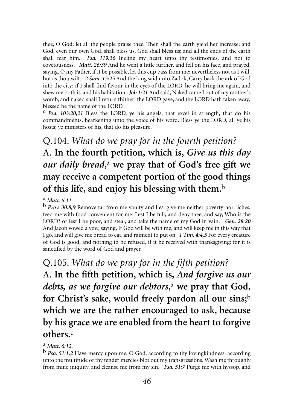thee, O God; let all the people praise thee. Then shall the earth yield her increase; and God, even our own God, shall bless us. God shall bless us; and all the ends of the earth shall fear him. *Psa. 119:36* Incline my heart unto thy testimonies, and not to covetousness. *Matt. 26:39* And he went a little further, and fell on his face, and prayed, saying, O my Father, if it be possible, let this cup pass from me: nevertheless not as I will, but as thou wilt. *2 Sam. 15:25* And the king said unto Zadok, Carry back the ark of God into the city: if I shall find favour in the eyes of the LORD, he will bring me again, and shew me both it, and his habitation *Job 1:21* And said, Naked came I out of my mother's womb, and naked shall I return thither: the LORD gave, and the LORD hath taken away; blessed be the name of the LORD.

c *Psa. 103:20,21* Bless the LORD, ye his angels, that excel in strength, that do his commandments, hearkening unto the voice of his word. Bless ye the LORD, all ye his hosts; ye ministers of his, that do his pleasure.

Q.104. *What do we pray for in the fourth petition?*  A. **In the fourth petition, which is,** *Give us this day our daily bread***,**<sup>a</sup> **we pray that of God's free gift we may receive a competent portion of the good things of this life, and enjoy his blessing with them.**<sup>b</sup>

a *Matt. 6:11.*

b *Prov. 30:8,9* Remove far from me vanity and lies: give me neither poverty nor riches; feed me with food convenient for me: Lest I be full, and deny thee, and say, Who is the LORD? or lest I be poor, and steal, and take the name of my God in vain. *Gen. 28:20* And Jacob vowed a vow, saying, If God will be with me, and will keep me in this way that I go, and will give me bread to eat, and raiment to put on *1 Tim. 4:4,5* For every creature of God is good, and nothing to be refused, if it be received with thanksgiving: for it is sanctified by the word of God and prayer.

Q.105. *What do we pray for in the fifth petition?* A. **In the fifth petition, which is,** *And forgive us our debts, as we forgive our debtors***,**<sup>a</sup> **we pray that God, for Christ's sake, would freely pardon all our sins;**<sup>b</sup> **which we are the rather encouraged to ask, because by his grace we are enabled from the heart to forgive others.**<sup>c</sup>

a *Matt. 6:12.*

b *Psa. 51:1,2* Have mercy upon me, O God, according to thy lovingkindness: according unto the multitude of thy tender mercies blot out my transgressions. Wash me throughly from mine iniquity, and cleanse me from my sin. *Psa. 51:7* Purge me with hyssop, and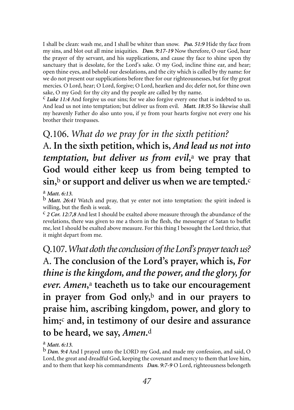I shall be clean: wash me, and I shall be whiter than snow. *Psa. 51:9* Hide thy face from my sins, and blot out all mine iniquities. *Dan. 9:17-19* Now therefore, O our God, hear the prayer of thy servant, and his supplications, and cause thy face to shine upon thy sanctuary that is desolate, for the Lord's sake. O my God, incline thine ear, and hear; open thine eyes, and behold our desolations, and the city which is called by thy name: for we do not present our supplications before thee for our righteousnesses, but for thy great mercies. O Lord, hear; O Lord, forgive; O Lord, hearken and do; defer not, for thine own sake, O my God: for thy city and thy people are called by thy name.

c *Luke 11:4* And forgive us our sins; for we also forgive every one that is indebted to us. And lead us not into temptation; but deliver us from evil. *Matt. 18:35* So likewise shall my heavenly Father do also unto you, if ye from your hearts forgive not every one his brother their trespasses.

Q.106. *What do we pray for in the sixth petition?*  A. **In the sixth petition, which is,** *And lead us not into temptation, but deliver us from evil***,**<sup>a</sup> **we pray that God would either keep us from being tempted to sin,**<sup>b</sup> **or support and deliver us when we are tempted.**<sup>c</sup>

a *Matt. 6:13.*

b *Matt. 26:41* Watch and pray, that ye enter not into temptation: the spirit indeed is willing, but the flesh is weak.

c *2 Cor. 12:7,8* And lest I should be exalted above measure through the abundance of the revelations, there was given to me a thorn in the flesh, the messenger of Satan to buffet me, lest I should be exalted above measure. For this thing I besought the Lord thrice, that it might depart from me.

Q.107.*What doth the conclusion of the Lord's prayer teach us?* A. **The conclusion of the Lord's prayer, which is,** *For thine is the kingdom, and the power, and the glory, for ever. Amen***,**<sup>a</sup> **teacheth us to take our encouragement in prayer from God only,**<sup>b</sup> **and in our prayers to praise him, ascribing kingdom, power, and glory to him;**<sup>c</sup> **and, in testimony of our desire and assurance to be heard, we say,** *Amen***.**<sup>d</sup>

a *Matt. 6:13.*

b *Dan. 9:4* And I prayed unto the LORD my God, and made my confession, and said, O Lord, the great and dreadful God, keeping the covenant and mercy to them that love him, and to them that keep his commandments *Dan. 9:7-9* O Lord, righteousness belongeth